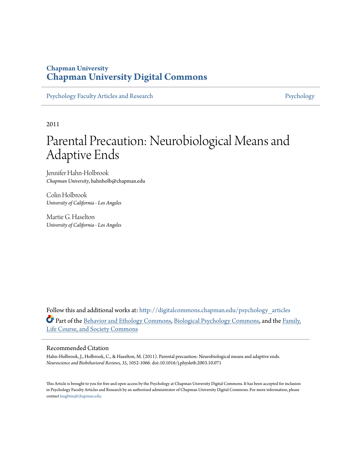## **Chapman University [Chapman University Digital Commons](http://digitalcommons.chapman.edu?utm_source=digitalcommons.chapman.edu%2Fpsychology_articles%2F22&utm_medium=PDF&utm_campaign=PDFCoverPages)**

[Psychology Faculty Articles and Research](http://digitalcommons.chapman.edu/psychology_articles?utm_source=digitalcommons.chapman.edu%2Fpsychology_articles%2F22&utm_medium=PDF&utm_campaign=PDFCoverPages) **[Psychology](http://digitalcommons.chapman.edu/psychology?utm_source=digitalcommons.chapman.edu%2Fpsychology_articles%2F22&utm_medium=PDF&utm_campaign=PDFCoverPages)** 

2011

# Parental Precaution: Neurobiological Means and Adaptive Ends

Jennifer Hahn-Holbrook *Chapman University*, hahnholb@chapman.edu

Colin Holbrook *University of California - Los Angeles*

Martie G. Haselton *University of California - Los Angeles*

Follow this and additional works at: [http://digitalcommons.chapman.edu/psychology\\_articles](http://digitalcommons.chapman.edu/psychology_articles?utm_source=digitalcommons.chapman.edu%2Fpsychology_articles%2F22&utm_medium=PDF&utm_campaign=PDFCoverPages) Part of the [Behavior and Ethology Commons,](http://network.bepress.com/hgg/discipline/15?utm_source=digitalcommons.chapman.edu%2Fpsychology_articles%2F22&utm_medium=PDF&utm_campaign=PDFCoverPages) [Biological Psychology Commons](http://network.bepress.com/hgg/discipline/405?utm_source=digitalcommons.chapman.edu%2Fpsychology_articles%2F22&utm_medium=PDF&utm_campaign=PDFCoverPages), and the [Family,](http://network.bepress.com/hgg/discipline/419?utm_source=digitalcommons.chapman.edu%2Fpsychology_articles%2F22&utm_medium=PDF&utm_campaign=PDFCoverPages) [Life Course, and Society Commons](http://network.bepress.com/hgg/discipline/419?utm_source=digitalcommons.chapman.edu%2Fpsychology_articles%2F22&utm_medium=PDF&utm_campaign=PDFCoverPages)

#### Recommended Citation

Hahn-Holbrook, J., Holbrook, C., & Haselton, M. (2011). Parental precaution: Neurobiological means and adaptive ends. *Neuroscience and Biobehavioral Reviews, 35*, 1052-1066. doi:10.1016/j.physletb.2003.10.071

This Article is brought to you for free and open access by the Psychology at Chapman University Digital Commons. It has been accepted for inclusion in Psychology Faculty Articles and Research by an authorized administrator of Chapman University Digital Commons. For more information, please contact [laughtin@chapman.edu](mailto:laughtin@chapman.edu).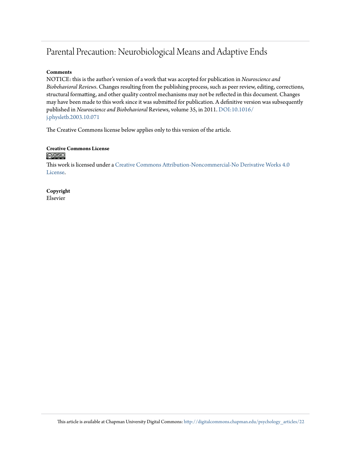# Parental Precaution: Neurobiological Means and Adaptive Ends

#### **Comments**

NOTICE: this is the author's version of a work that was accepted for publication in *Neuroscience and Biobehavioral Reviews*. Changes resulting from the publishing process, such as peer review, editing, corrections, structural formatting, and other quality control mechanisms may not be reflected in this document. Changes may have been made to this work since it was submitted for publication. A definitive version was subsequently published in *Neuroscience and Biobehavioral* Reviews, volume 35, in 2011. [DOI:10.1016/](http://dx.doi.org/10.1016/j.physletb.2003.10.071) [j.physletb.2003.10.071](http://dx.doi.org/10.1016/j.physletb.2003.10.071)

The Creative Commons license below applies only to this version of the article.

#### **Creative Commons License** <u>@0®ම</u>

This work is licensed under a [Creative Commons Attribution-Noncommercial-No Derivative Works 4.0](http://creativecommons.org/licenses/by-nc-nd/4.0/) [License.](http://creativecommons.org/licenses/by-nc-nd/4.0/)

**Copyright** Elsevier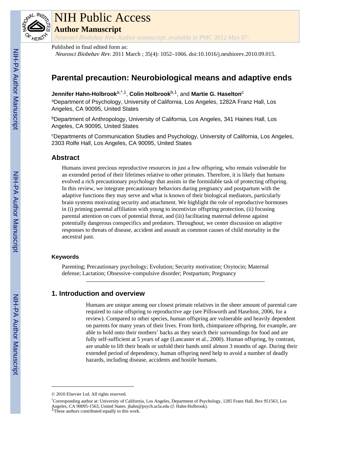

# NIH Public Access

**Author Manuscript**

Neurosci Biobehav Rev. Author manuscript; available in PMC 2012 May 07.

#### Published in final edited form as:

Neurosci Biobehav Rev. 2011 March ; 35(4): 1052–1066. doi:10.1016/j.neubiorev.2010.09.015.

### **Parental precaution: Neurobiological means and adaptive ends**

#### **Jennifer Hahn-Holbrook**a,\*,1, **Colin Holbrook**b,1, and **Martie G. Haselton**<sup>c</sup>

aDepartment of Psychology, University of California, Los Angeles, 1282A Franz Hall, Los Angeles, CA 90095, United States

**bDepartment of Anthropology, University of California, Los Angeles, 341 Haines Hall, Los** Angeles, CA 90095, United States

<sup>c</sup>Departments of Communication Studies and Psychology, University of California, Los Angeles, 2303 Rolfe Hall, Los Angeles, CA 90095, United States

#### **Abstract**

Humans invest precious reproductive resources in just a few offspring, who remain vulnerable for an extended period of their lifetimes relative to other primates. Therefore, it is likely that humans evolved a rich precautionary psychology that assists in the formidable task of protecting offspring. In this review, we integrate precautionary behaviors during pregnancy and postpartum with the adaptive functions they may serve and what is known of their biological mediators, particularly brain systems motivating security and attachment. We highlight the role of reproductive hormones in (i) priming parental affiliation with young to incentivize offspring protection, (ii) focusing parental attention on cues of potential threat, and (iii) facilitating maternal defense against potentially dangerous conspecifics and predators. Throughout, we center discussion on adaptive responses to threats of disease, accident and assault as common causes of child mortality in the ancestral past.

#### **Keywords**

Parenting; Precautionary psychology; Evolution; Security motivation; Oxytocin; Maternal defense; Lactation; Obsessive–compulsive disorder; Postpartum; Pregnancy

### **1. Introduction and overview**

Humans are unique among our closest primate relatives in the sheer amount of parental care required to raise offspring to reproductive age (see Pillsworth and Haselton, 2006, for a review). Compared to other species, human offspring are vulnerable and heavily dependent on parents for many years of their lives. From birth, chimpanzee offspring, for example, are able to hold onto their mothers' backs as they search their surroundings for food and are fully self-sufficient at 5 years of age (Lancaster et al., 2000). Human offspring, by contrast, are unable to lift their heads or unfold their hands until almost 3 months of age. During their extended period of dependency, human offspring need help to avoid a number of deadly hazards, including disease, accidents and hostile humans.

<sup>© 2010</sup> Elsevier Ltd. All rights reserved.

<sup>\*</sup>Corresponding author at: University of California, Los Angeles, Department of Psychology, 1285 Franz Hall, Box 951563, Los Angeles, CA 90095-1563, United States. jhahn@psych.ucla.edu (J. Hahn-Holbrook).<br><sup>1</sup>These authors contributed equally to this work.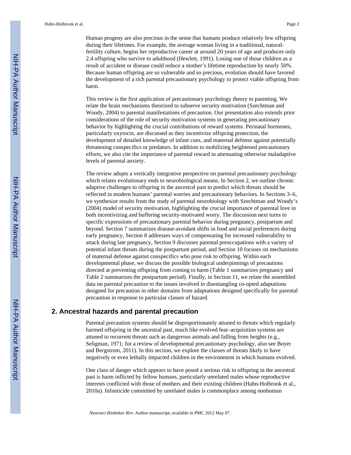Human progeny are also precious in the sense that humans produce relatively few offspring during their lifetimes. For example, the average woman living in a traditional, naturalfertility culture, begins her reproductive career at around 20 years of age and produces only 2.4 offspring who survive to adulthood (Hewlett, 1991). Losing one of those children as a result of accident or disease could reduce a mother's lifetime reproduction by nearly 50%. Because human offspring are so vulnerable and so precious, evolution should have favored the development of a rich parental precautionary psychology to protect viable offspring from harm.

This review is the first application of precautionary psychology theory to parenting. We relate the brain mechanisms theorized to subserve security motivation (Szechtman and Woody, 2004) to parental manifestations of precaution. Our presentation also extends prior considerations of the role of security motivation systems in generating precautionary behavior by highlighting the crucial contributions of reward systems. Perinatal hormones, particularly oxytocin, are discussed as they incentivize offspring protection, the development of detailed knowledge of infant cues, and maternal defense against potentially threatening conspecifics or predators. In addition to mobilizing heightened precautionary efforts, we also cite the importance of parental reward in attenuating otherwise maladaptive levels of parental anxiety.

The review adopts a vertically integrative perspective on parental precautionary psychology which relates evolutionary ends to neurobiological means. In Section 2, we outline chronic adaptive challenges to offspring in the ancestral past to predict which threats should be reflected in modern humans' parental worries and precautionary behaviors. In Sections 3–6, we synthesize results from the study of parental neurobiology with Szechtman and Woody's (2004) model of security motivation, highlighting the crucial importance of parental love in both incentivizing and buffering security-motivated worry. The discussion next turns to specific expressions of precautionary parental behavior during pregnancy, postpartum and beyond. Section 7 summarizes disease-avoidant shifts in food and social preferences during early pregnancy, Section 8 addresses ways of compensating for increased vulnerability to attack during late pregnancy, Section 9 discusses parental preoccupations with a variety of potential infant threats during the postpartum period, and Section 10 focuses on mechanisms of maternal defense against conspecifics who pose risk to offspring. Within each developmental phase, we discuss the possible biological underpinnings of precautions directed at preventing offspring from coming to harm (Table 1 summarizes pregnancy and Table 2 summarizes the postpartum period). Finally, in Section 11, we relate the assembled data on parental precaution to the issues involved in disentangling co-opted adaptations designed for precaution in other domains from adaptations designed specifically for parental precaution in response to particular classes of hazard.

#### **2. Ancestral hazards and parental precaution**

Parental precaution systems should be disproportionately attuned to threats which regularly harmed offspring in the ancestral past, much like evolved fear–acquisition systems are attuned to recurrent threats such as dangerous animals and falling from heights (e.g., Seligman, 1971; for a review of developmental precautionary psychology, also see Boyer and Bergstrom, 2011). In this section, we explore the classes of threats likely to have negatively or even lethally impacted children in the environment in which humans evolved.

One class of danger which appears to have posed a serious risk to offspring in the ancestral past is harm inflicted by fellow humans, particularly unrelated males whose reproductive interests conflicted with those of mothers and their existing children (Hahn-Holbrook et al., 2010a). Infanticide committed by unrelated males is commonplace among nonhuman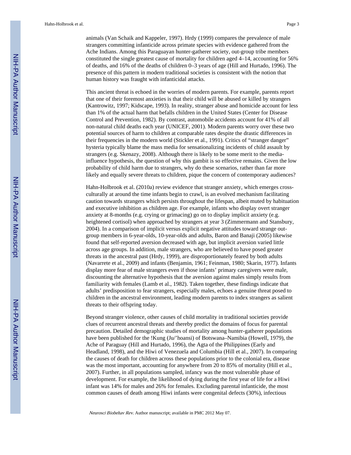animals (Van Schaik and Kappeler, 1997). Hrdy (1999) compares the prevalence of male strangers committing infanticide across primate species with evidence gathered from the Ache Indians. Among this Paraguayan hunter-gatherer society, out-group tribe members constituted the single greatest cause of mortality for children aged 4–14, accounting for 56% of deaths, and 16% of the deaths of children 0–3 years of age (Hill and Hurtado, 1996). The presence of this pattern in modern traditional societies is consistent with the notion that human history was fraught with infanticidal attacks.

This ancient threat is echoed in the worries of modern parents. For example, parents report that one of their foremost anxieties is that their child will be abused or killed by strangers (Kantrowitz, 1997; Kidscape, 1993). In reality, stranger abuse and homicide account for less than 1% of the actual harm that befalls children in the United States (Center for Disease Control and Prevention, 1982). By contrast, automobile accidents account for 41% of all non-natural child deaths each year (UNICEF, 2001). Modern parents worry over these two potential sources of harm to children at comparable rates despite the drastic differences in their frequencies in the modern world (Stickler et al., 1991). Critics of "stranger danger" hysteria typically blame the mass media for sensationalizing incidents of child assault by strangers (e.g. Skenazy, 2008). Although there is likely to be some merit to the mediainfluence hypothesis, the question of why this gambit is so effective remains. Given the low probability of child harm due to strangers, why do these scenarios, rather than far more likely and equally severe threats to children, pique the concern of contemporary audiences?

Hahn-Holbrook et al. (2010a) review evidence that stranger anxiety, which emerges crossculturally at around the time infants begin to crawl, is an evolved mechanism facilitating caution towards strangers which persists throughout the lifespan, albeit muted by habituation and executive inhibition as children age. For example, infants who display overt stranger anxiety at 8-months (e.g. crying or grimacing) go on to display implicit anxiety (e.g. heightened cortisol) when approached by strangers at year 3 (Zimmermann and Stansbury, 2004). In a comparison of implicit versus explicit negative attitudes toward strange outgroup members in 6-year-olds, 10-year-olds and adults, Baron and Banaji (2005) likewise found that self-reported aversion decreased with age, but implicit aversion varied little across age groups. In addition, male strangers, who are believed to have posed greater threats in the ancestral past (Hrdy, 1999), are disproportionately feared by both adults (Navarrete et al., 2009) and infants (Benjamin, 1961; Feinman, 1980; Skarin, 1977). Infants display more fear of male strangers even if those infants' primary caregivers were male, discounting the alternative hypothesis that the aversion against males simply results from familiarity with females (Lamb et al., 1982). Taken together, these findings indicate that adults' predisposition to fear strangers, especially males, echoes a genuine threat posed to children in the ancestral environment, leading modern parents to index strangers as salient threats to their offspring today.

Beyond stranger violence, other causes of child mortality in traditional societies provide clues of recurrent ancestral threats and thereby predict the domains of focus for parental precaution. Detailed demographic studies of mortality among hunter-gatherer populations have been published for the !Kung (Ju/'hoansi) of Botswana–Namibia (Howell, 1979), the Ache of Paraguay (Hill and Hurtado, 1996), the Agta of the Philippines (Early and Headland, 1998), and the Hiwi of Venezuela and Columbia (Hill et al., 2007). In comparing the causes of death for children across these populations prior to the colonial era, disease was the most important, accounting for anywhere from 20 to 85% of mortality (Hill et al., 2007). Further, in all populations sampled, infancy was the most vulnerable phase of development. For example, the likelihood of dying during the first year of life for a Hiwi infant was 14% for males and 26% for females. Excluding parental infanticide, the most common causes of death among Hiwi infants were congenital defects (30%), infectious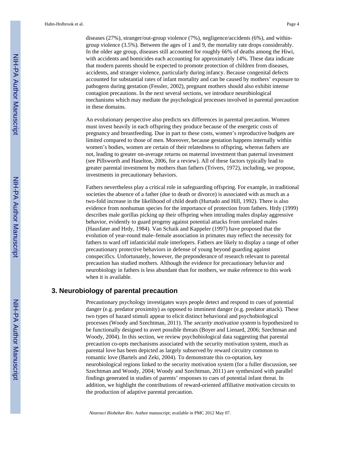Hahn-Holbrook et al. Page 4

diseases (27%), stranger/out-group violence (7%), negligence/accidents (6%), and withingroup violence (3.5%). Between the ages of 1 and 9, the mortality rate drops considerably. In the older age group, diseases still accounted for roughly 66% of deaths among the Hiwi, with accidents and homicides each accounting for approximately 14%. These data indicate that modern parents should be expected to promote protection of children from diseases, accidents, and stranger violence, particularly during infancy. Because congenital defects accounted for substantial rates of infant mortality and can be caused by mothers' exposure to pathogens during gestation (Fessler, 2002), pregnant mothers should also exhibit intense contagion precautions. In the next several sections, we introduce neurobiological mechanisms which may mediate the psychological processes involved in parental precaution in these domains.

An evolutionary perspective also predicts sex differences in parental precaution. Women must invest heavily in each offspring they produce because of the energetic costs of pregnancy and breastfeeding. Due in part to these costs, women's reproductive budgets are limited compared to those of men. Moreover, because gestation happens internally within women's bodies, women are certain of their relatedness to offspring, whereas fathers are not, leading to greater on-average returns on maternal investment than paternal investment (see Pillsworth and Haselton, 2006, for a review). All of these factors typically lead to greater parental investment by mothers than fathers (Trivers, 1972), including, we propose, investments in precautionary behaviors.

Fathers nevertheless play a critical role in safeguarding offspring. For example, in traditional societies the absence of a father (due to death or divorce) is associated with as much as a two-fold increase in the likelihood of child death (Hurtado and Hill, 1992). There is also evidence from nonhuman species for the importance of protection from fathers. Hrdy (1999) describes male gorillas picking up their offspring when intruding males display aggressive behavior, evidently to guard progeny against potential attacks from unrelated males (Hausfater and Hrdy, 1984). Van Schaik and Kappeler (1997) have proposed that the evolution of year-round male–female association in primates may reflect the necessity for fathers to ward off infanticidal male interlopers. Fathers are likely to display a range of other precautionary protective behaviors in defense of young beyond guarding against conspecifics. Unfortunately, however, the preponderance of research relevant to parental precaution has studied mothers. Although the evidence for precautionary behavior and neurobiology in fathers is less abundant than for mothers, we make reference to this work when it is available.

#### **3. Neurobiology of parental precaution**

Precautionary psychology investigates ways people detect and respond to cues of potential danger (e.g. predator proximity) as opposed to imminent danger (e.g. predator attack). These two types of hazard stimuli appear to elicit distinct behavioral and psychobiological processes (Woody and Szechtman, 2011). The security motivation system is hypothesized to be functionally designed to avert possible threats (Boyer and Lienard, 2006; Szechtman and Woody, 2004). In this section, we review psychobiological data suggesting that parental precaution co-opts mechanisms associated with the security motivation system, much as parental love has been depicted as largely subserved by reward circuitry common to romantic love (Bartels and Zeki, 2004). To demonstrate this co-optation, key neurobiological regions linked to the security motivation system (for a fuller discussion, see Szechtman and Woody, 2004; Woody and Szechtman, 2011) are synthesized with parallel findings generated in studies of parents' responses to cues of potential infant threat. In addition, we highlight the contributions of reward-oriented affiliative motivation circuits to the production of adaptive parental precaution.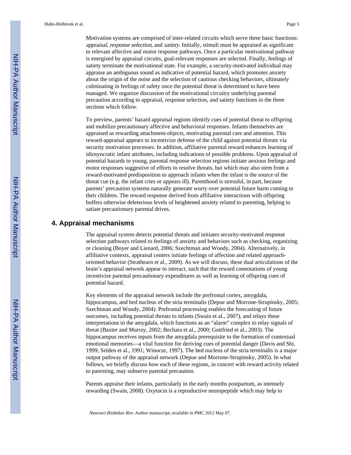Motivation systems are comprised of inter-related circuits which serve three basic functions: appraisal, response selection, and satiety. Initially, stimuli must be appraised as significant to relevant affective and motor response pathways. Once a particular motivational pathway is energized by appraisal circuits, goal-relevant responses are selected. Finally, feelings of satiety terminate the motivational state. For example, a security-motivated individual may appraise an ambiguous sound as indicative of potential hazard, which promotes anxiety about the origin of the noise and the selection of cautious checking behaviors, ultimately culminating in feelings of safety once the potential threat is determined to have been managed. We organize discussion of the motivational circuitry underlying parental precaution according to appraisal, response selection, and satiety functions in the three sections which follow.

To preview, parents' hazard appraisal regions identify cues of potential threat to offspring and mobilize precautionary affective and behavioral responses. Infants themselves are appraised as rewarding attachment-objects, motivating parental care and attention. This reward-appraisal appears to incentivize defense of the child against potential threats via security motivation processes. In addition, affiliative parental reward enhances learning of idiosyncratic infant attributes, including indications of possible problems. Upon appraisal of potential hazards to young, parental response selection regions initiate anxious feelings and motor responses suggestive of efforts to resolve threats, but which may also stem from a reward-motivated predisposition to approach infants when the infant is the source of the threat cue (e.g. the infant cries or appears ill). Parenthood is stressful, in part, because parents' precaution systems naturally generate worry over potential future harm coming to their children. The reward response derived from affiliative interactions with offspring buffers otherwise deleterious levels of heightened anxiety related to parenting, helping to satiate precautionary parental drives.

#### **4. Appraisal mechanisms**

The appraisal system detects potential threats and initiates security-motivated response selection pathways related to feelings of anxiety and behaviors such as checking, organizing or cleaning (Boyer and Lienard, 2006; Szechtman and Woody, 2004). Alternatively, in affiliative contexts, appraisal centers initiate feelings of affection and related approachoriented behavior (Strathearn et al., 2009). As we will discuss, these dual articulations of the brain's appraisal network appear to interact, such that the reward connotations of young incentivize parental precautionary expenditures as well as learning of offspring cues of potential hazard.

Key elements of the appraisal network include the prefrontal cortex, amygdala, hippocampus, and bed nucleus of the stria terminalis (Depue and Morrone-Strupinsky, 2005; Szechtman and Woody, 2004). Prefrontal processing enables the forecasting of future outcomes, including potential threats to infants (Swain et al., 2007), and relays these interpretations to the amygdala, which functions as an "alarm" complex to relay signals of threat (Baxter and Murray, 2002; Bechara et al., 2000; Gottfried et al., 2003). The hippocampus receives inputs from the amygdala prerequisite to the formation of contextual emotional memories—a vital function for deriving cues of potential danger (Davis and Shi, 1999; Selden et al., 1991; Winocur, 1997). The bed nucleus of the stria terminalis is a major output pathway of the appraisal network (Depue and Morrone-Strupinsky, 2005). In what follows, we briefly discuss how each of these regions, in concert with reward activity related to parenting, may subserve parental precaution.

Parents appraise their infants, particularly in the early months postpartum, as intensely rewarding (Swain, 2008). Oxytocin is a reproductive neuropeptide which may help to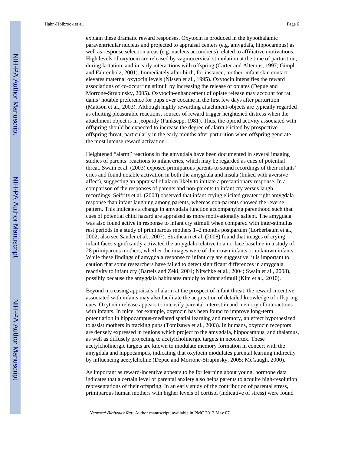explain these dramatic reward responses. Oxytocin is produced in the hypothalamic paraventricular nucleus and projected to appraisal centers (e.g. amygdala, hippocampus) as well as response selection areas (e.g. nucleus accumbens) related to affiliative motivations. High levels of oxytocin are released by vaginocervical stimulation at the time of parturition, during lactation, and in early interactions with offspring (Carter and Altemus, 1997; Gimpl and Fahrenholz, 2001). Immediately after birth, for instance, mother–infant skin contact elevates maternal oxytocin levels (Nissen et al., 1995). Oxytocin intensifies the reward associations of co-occurring stimuli by increasing the release of opiates (Depue and Morrone-Strupinsky, 2005). Oxytocin-enhancement of opiate release may account for rat dams' notable preference for pups over cocaine in the first few days after parturition (Mattson et al., 2003). Although highly rewarding attachment-objects are typically regarded as eliciting pleasurable reactions, sources of reward trigger heightened distress when the attachment object is in jeopardy (Panksepp, 1981). Thus, the opioid activity associated with offspring should be expected to increase the degree of alarm elicited by prospective offspring threat, particularly in the early months after parturition when offspring generate the most intense reward activation.

Heightened "alarm" reactions in the amygdala have been documented in several imaging studies of parents' reactions to infant cries, which may be regarded as cues of potential threat. Swain et al. (2003) exposed primiparous parents to sound recordings of their infants' cries and found notable activation in both the amygdala and insula (linked with aversive affect), suggesting an appraisal of alarm likely to initiate a precautionary response. In a comparison of the responses of parents and non-parents to infant cry versus laugh recordings, Seifritz et al. (2003) observed that infant crying elicited greater right amygdala response than infant laughing among parents, whereas non-parents showed the reverse pattern. This indicates a change in amygdala function accompanying parenthood such that cues of potential child hazard are appraised as more motivationally salient. The amygdala was also found active in response to infant cry stimuli when compared with inter-stimulus rest periods in a study of primiparous mothers 1–2 months postpartum (Lorberbaum et al., 2002; also see Sander et al., 2007). Strathearn et al. (2008) found that images of crying infant faces significantly activated the amygdala relative to a no-face baseline in a study of 28 primiparous mothers, whether the images were of their own infants or unknown infants. While these findings of amygdala response to infant cry are suggestive, it is important to caution that some researchers have failed to detect significant differences in amygdala reactivity to infant cry (Bartels and Zeki, 2004; Nitschke et al., 2004; Swain et al., 2008), possibly because the amygdala habituates rapidly to infant stimuli (Kim et al., 2010).

Beyond increasing appraisals of alarm at the prospect of infant threat, the reward-incentive associated with infants may also facilitate the acquisition of detailed knowledge of offspring cues. Oxytocin release appears to intensify parental interest in and memory of interactions with infants. In mice, for example, oxytocin has been found to improve long-term potentiation in hippocampus-mediated spatial learning and memory, an effect hypothesized to assist mothers in tracking pups (Tomizawa et al., 2003). In humans, oxytocin receptors are densely expressed in regions which project to the amygdala, hippocampus, and thalamus, as well as diffusely projecting to acetylcholinergic targets in neocortex. These acetylcholinergic targets are known to modulate memory formation in concert with the amygdala and hippocampus, indicating that oxytocin modulates parental learning indirectly by influencing acetylcholine (Depue and Morrone-Strupinsky, 2005; McGaugh, 2000).

As important as reward-incentive appears to be for learning about young, hormone data indicates that a certain level of parental anxiety also helps parents to acquire high-resolution representations of their offspring. In an early study of the contribution of parental stress, primiparous human mothers with higher levels of cortisol (indicative of stress) were found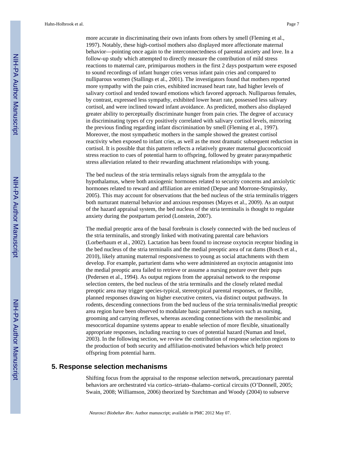more accurate in discriminating their own infants from others by smell (Fleming et al., 1997). Notably, these high-cortisol mothers also displayed more affectionate maternal behavior—pointing once again to the interconnectedness of parental anxiety and love. In a follow-up study which attempted to directly measure the contribution of mild stress reactions to maternal care, primiparous mothers in the first 2 days postpartum were exposed to sound recordings of infant hunger cries versus infant pain cries and compared to nulliparous women (Stallings et al., 2001). The investigators found that mothers reported more sympathy with the pain cries, exhibited increased heart rate, had higher levels of salivary cortisol and tended toward emotions which favored approach. Nulliparous females, by contrast, expressed less sympathy, exhibited lower heart rate, possessed less salivary cortisol, and were inclined toward infant avoidance. As predicted, mothers also displayed greater ability to perceptually discriminate hunger from pain cries. The degree of accuracy in discriminating types of cry positively correlated with salivary cortisol levels, mirroring the previous finding regarding infant discrimination by smell (Fleming et al., 1997). Moreover, the most sympathetic mothers in the sample showed the greatest cortisol reactivity when exposed to infant cries, as well as the most dramatic subsequent reduction in cortisol. It is possible that this pattern reflects a relatively greater maternal glucocorticoid stress reaction to cues of potential harm to offspring, followed by greater parasympathetic stress alleviation related to their rewarding attachment relationships with young.

The bed nucleus of the stria terminalis relays signals from the amygdala to the hypothalamus, where both anxiogenic hormones related to security concerns and anxiolytic hormones related to reward and affiliation are emitted (Depue and Morrone-Strupinsky, 2005). This may account for observations that the bed nucleus of the stria terminalis triggers both nurturant maternal behavior and anxious responses (Mayes et al., 2009). As an output of the hazard appraisal system, the bed nucleus of the stria terminalis is thought to regulate anxiety during the postpartum period (Lonstein, 2007).

The medial preoptic area of the basal forebrain is closely connected with the bed nucleus of the stria terminalis, and strongly linked with motivating parental care behaviors (Lorberbaum et al., 2002). Lactation has been found to increase oxytocin receptor binding in the bed nucleus of the stria terminalis and the medial preoptic area of rat dams (Bosch et al., 2010), likely attuning maternal responsiveness to young as social attachments with them develop. For example, parturient dams who were administered an oxytocin antagonist into the medial preoptic area failed to retrieve or assume a nursing posture over their pups (Pedersen et al., 1994). As output regions from the appraisal network to the response selection centers, the bed nucleus of the stria terminalis and the closely related medial preoptic area may trigger species-typical, stereotypical parental responses, or flexible, planned responses drawing on higher executive centers, via distinct output pathways. In rodents, descending connections from the bed nucleus of the stria terminalis/medial preoptic area region have been observed to modulate basic parental behaviors such as nursing, grooming and carrying reflexes, whereas ascending connections with the mesolimbic and mesocortical dopamine systems appear to enable selection of more flexible, situationally appropriate responses, including reacting to cues of potential hazard (Numan and Insel, 2003). In the following section, we review the contribution of response selection regions to the production of both security and affiliation-motivated behaviors which help protect offspring from potential harm.

#### **5. Response selection mechanisms**

Shifting focus from the appraisal to the response selection network, precautionary parental behaviors are orchestrated via cortico–striato–thalamo–cortical circuits (O'Donnell, 2005; Swain, 2008; Williamson, 2006) theorized by Szechtman and Woody (2004) to subserve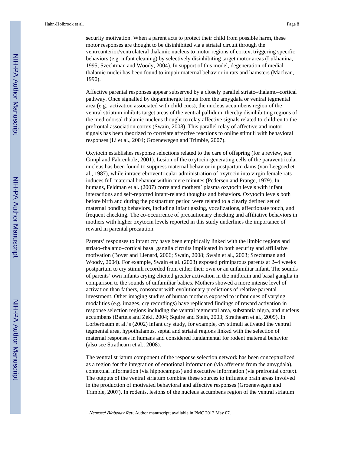security motivation. When a parent acts to protect their child from possible harm, these motor responses are thought to be disinhibited via a striatal circuit through the ventroanterior/ventrolateral thalamic nucleus to motor regions of cortex, triggering specific behaviors (e.g. infant cleaning) by selectively disinhibiting target motor areas (Lukhanina, 1995; Szechtman and Woody, 2004). In support of this model, degeneration of medial thalamic nuclei has been found to impair maternal behavior in rats and hamsters (Maclean, 1990).

Affective parental responses appear subserved by a closely parallel striato–thalamo–cortical pathway. Once signalled by dopaminergic inputs from the amygdala or ventral tegmental area (e.g., activation associated with child cues), the nucleus accumbens region of the ventral striatum inhibits target areas of the ventral pallidum, thereby disinhibiting regions of the mediodorsal thalamic nucleus thought to relay affective signals related to children to the prefrontal association cortex (Swain, 2008). This parallel relay of affective and motor signals has been theorized to correlate affective reactions to online stimuli with behavioral responses (Li et al., 2004; Groenewegen and Trimble, 2007).

Oxytocin establishes response selections related to the care of offspring (for a review, see Gimpl and Fahrenholz, 2001). Lesion of the oxytocin-generating cells of the paraventricular nucleus has been found to suppress maternal behavior in postpartum dams (van Leegoed et al., 1987), while intracerebroventricular administration of oxytocin into virgin female rats induces full maternal behavior within mere minutes (Pedersen and Prange, 1979). In humans, Feldman et al. (2007) correlated mothers' plasma oxytocin levels with infant interactions and self-reported infant-related thoughts and behaviors. Oxytocin levels both before birth and during the postpartum period were related to a clearly defined set of maternal bonding behaviors, including infant gazing, vocalizations, affectionate touch, and frequent checking. The co-occurrence of precautionary checking and affiliative behaviors in mothers with higher oxytocin levels reported in this study underlines the importance of reward in parental precaution.

Parents' responses to infant cry have been empirically linked with the limbic regions and striato–thalamo–cortical basal ganglia circuits implicated in both security and affiliative motivation (Boyer and Lienard, 2006; Swain, 2008; Swain et al., 2003; Szechtman and Woody, 2004). For example, Swain et al. (2003) exposed primiparous parents at 2–4 weeks postpartum to cry stimuli recorded from either their own or an unfamiliar infant. The sounds of parents' own infants crying elicited greater activation in the midbrain and basal ganglia in comparison to the sounds of unfamiliar babies. Mothers showed a more intense level of activation than fathers, consonant with evolutionary predictions of relative parental investment. Other imaging studies of human mothers exposed to infant cues of varying modalities (e.g. images, cry recordings) have replicated findings of reward activation in response selection regions including the ventral tegmental area, substantia nigra, and nucleus accumbens (Bartels and Zeki, 2004; Squire and Stein, 2003; Strathearn et al., 2009). In Lorberbaum et al.'s (2002) infant cry study, for example, cry stimuli activated the ventral tegmental area, hypothalamus, septal and striatal regions linked with the selection of maternal responses in humans and considered fundamental for rodent maternal behavior (also see Strathearn et al., 2008).

The ventral striatum component of the response selection network has been conceptualized as a region for the integration of emotional information (via afferents from the amygdala), contextual information (via hippocampus) and executive information (via prefrontal cortex). The outputs of the ventral striatum combine these sources to influence brain areas involved in the production of motivated behavioral and affective responses (Groenewegen and Trimble, 2007). In rodents, lesions of the nucleus accumbens region of the ventral striatum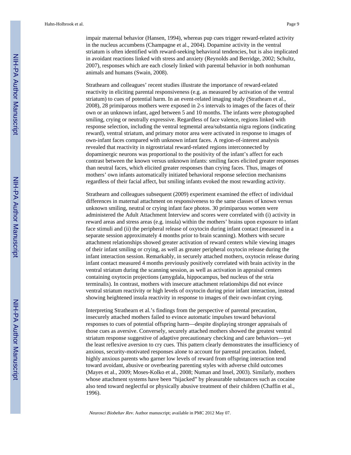impair maternal behavior (Hansen, 1994), whereas pup cues trigger reward-related activity in the nucleus accumbens (Champagne et al., 2004). Dopamine activity in the ventral striatum is often identified with reward-seeking behavioral tendencies, but is also implicated in avoidant reactions linked with stress and anxiety (Reynolds and Berridge, 2002; Schultz, 2007), responses which are each closely linked with parental behavior in both nonhuman animals and humans (Swain, 2008).

Strathearn and colleagues' recent studies illustrate the importance of reward-related reactivity in eliciting parental responsiveness (e.g. as measured by activation of the ventral striatum) to cues of potential harm. In an event-related imaging study (Strathearn et al., 2008), 28 primiparous mothers were exposed in 2-s intervals to images of the faces of their own or an unknown infant, aged between 5 and 10 months. The infants were photographed smiling, crying or neutrally expressive. Regardless of face valence, regions linked with response selection, including the ventral tegmental area/substantia nigra regions (indicating reward), ventral striatum, and primary motor area were activated in response to images of own-infant faces compared with unknown infant faces. A region-of-interest analysis revealed that reactivity in nigrostriatal reward-related regions interconnected by dopaminergic neurons was proportional to the positivity of the infant's affect for each contrast between the known versus unknown infants: smiling faces elicited greater responses than neutral faces, which elicited greater responses than crying faces. Thus, images of mothers' own infants automatically initiated behavioral response selection mechanisms regardless of their facial affect, but smiling infants evoked the most rewarding activity.

Strathearn and colleagues subsequent (2009) experiment examined the effect of individual differences in maternal attachment on responsiveness to the same classes of known versus unknown smiling, neutral or crying infant face photos. 30 primiparous women were administered the Adult Attachment Interview and scores were correlated with (i) activity in reward areas and stress areas (e.g. insula) within the mothers' brains upon exposure to infant face stimuli and (ii) the peripheral release of oxytocin during infant contact (measured in a separate session approximately 4 months prior to brain scanning). Mothers with secure attachment relationships showed greater activation of reward centers while viewing images of their infant smiling or crying, as well as greater peripheral oxytocin release during the infant interaction session. Remarkably, in securely attached mothers, oxytocin release during infant contact measured 4 months previously positively correlated with brain activity in the ventral striatum during the scanning session, as well as activation in appraisal centers containing oxytocin projections (amygdala, hippocampus, bed nucleus of the stria terminalis). In contrast, mothers with insecure attachment relationships did not evince ventral striatum reactivity or high levels of oxytocin during prior infant interaction, instead showing heightened insula reactivity in response to images of their own-infant crying.

Interpreting Strathearn et al.'s findings from the perspective of parental precaution, insecurely attached mothers failed to evince automatic impulses toward behavioral responses to cues of potential offspring harm—despite displaying stronger appraisals of those cues as aversive. Conversely, securely attached mothers showed the greatest ventral striatum response suggestive of adaptive precautionary checking and care behaviors—yet the least reflexive aversion to cry cues. This pattern clearly demonstrates the insufficiency of anxious, security-motivated responses alone to account for parental precaution. Indeed, highly anxious parents who garner low levels of reward from offspring interaction tend toward avoidant, abusive or overbearing parenting styles with adverse child outcomes (Mayes et al., 2009; Moses-Kolko et al., 2008; Numan and Insel, 2003). Similarly, mothers whose attachment systems have been "hijacked" by pleasurable substances such as cocaine also tend toward neglectful or physically abusive treatment of their children (Chaffin et al., 1996).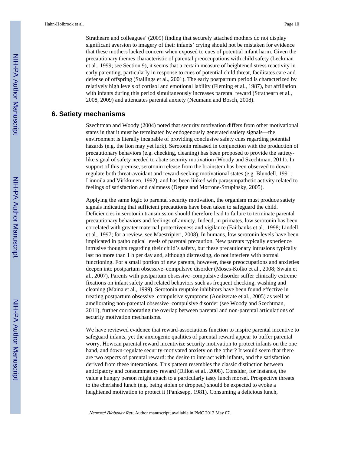Strathearn and colleagues' (2009) finding that securely attached mothers do not display significant aversion to imagery of their infants' crying should not be mistaken for evidence that these mothers lacked concern when exposed to cues of potential infant harm. Given the precautionary themes characteristic of parental preoccupations with child safety (Leckman et al., 1999; see Section 9), it seems that a certain measure of heightened stress reactivity in early parenting, particularly in response to cues of potential child threat, facilitates care and defense of offspring (Stallings et al., 2001). The early postpartum period is characterized by relatively high levels of cortisol and emotional lability (Fleming et al., 1987), but affiliation with infants during this period simultaneously increases parental reward (Strathearn et al., 2008, 2009) and attenuates parental anxiety (Neumann and Bosch, 2008).

#### **6. Satiety mechanisms**

Szechtman and Woody (2004) noted that security motivation differs from other motivational states in that it must be terminated by endogenously generated satiety signals—the environment is literally incapable of providing conclusive safety cues regarding potential hazards (e.g. the lion may yet lurk). Serotonin released in conjunction with the production of precautionary behaviors (e.g. checking, cleaning) has been proposed to provide the satietylike signal of safety needed to abate security motivation (Woody and Szechtman, 2011). In support of this premise, serotonin release from the brainstem has been observed to downregulate both threat-avoidant and reward-seeking motivational states (e.g. Blundell, 1991; Linnoila and Virkkunen, 1992), and has been linked with parasympathetic activity related to feelings of satisfaction and calmness (Depue and Morrone-Strupinsky, 2005).

Applying the same logic to parental security motivation, the organism must produce satiety signals indicating that sufficient precautions have been taken to safeguard the child. Deficiencies in serotonin transmission should therefore lead to failure to terminate parental precautionary behaviors and feelings of anxiety. Indeed, in primates, low serotonin has been correlated with greater maternal protectiveness and vigilance (Fairbanks et al., 1998; Lindell et al., 1997; for a review, see Maestripieri, 2008). In humans, low serotonin levels have been implicated in pathological levels of parental precaution. New parents typically experience intrusive thoughts regarding their child's safety, but these precautionary intrusions typically last no more than 1 h per day and, although distressing, do not interfere with normal functioning. For a small portion of new parents, however, these preoccupations and anxieties deepen into postpartum obsessive–compulsive disorder (Moses-Kolko et al., 2008; Swain et al., 2007). Parents with postpartum obsessive–compulsive disorder suffer clinically extreme fixations on infant safety and related behaviors such as frequent checking, washing and cleaning (Maina et al., 1999). Serotonin reuptake inhibitors have been found effective in treating postpartum obsessive–compulsive symptoms (Aouizerate et al., 2005) as well as ameliorating non-parental obsessive–compulsive disorder (see Woody and Szechtman, 2011), further corroborating the overlap between parental and non-parental articulations of security motivation mechanisms.

We have reviewed evidence that reward-associations function to inspire parental incentive to safeguard infants, yet the anxiogenic qualities of parental reward appear to buffer parental worry. Howcan parental reward incentivize security motivation to protect infants on the one hand, and down-regulate security-motivated anxiety on the other? It would seem that there are two aspects of parental reward: the desire to interact with infants, and the satisfaction derived from these interactions. This pattern resembles the classic distinction between anticipatory and consummatory reward (Dillon et al., 2008). Consider, for instance, the value a hungry person might attach to a particularly tasty lunch morsel. Prospective threats to the cherished lunch (e.g. being stolen or dropped) should be expected to evoke a heightened motivation to protect it (Panksepp, 1981). Consuming a delicious lunch,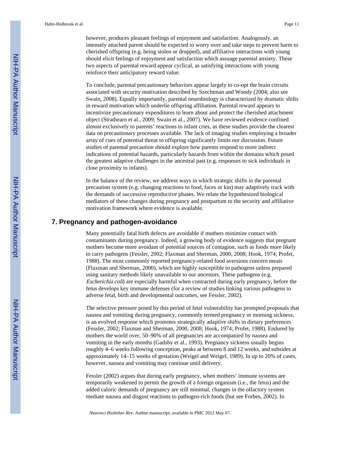however, produces pleasant feelings of enjoyment and satisfaction. Analogously, an intensely attached parent should be expected to worry over and take steps to prevent harm to cherished offspring (e.g. being stolen or dropped), and affiliative interactions with young should elicit feelings of enjoyment and satisfaction which assuage parental anxiety. These two aspects of parental reward appear cyclical, as satisfying interactions with young reinforce their anticipatory reward value.

To conclude, parental precautionary behaviors appear largely to co-opt the brain circuits associated with security motivation described by Szechtman and Woody (2004; also see Swain, 2008). Equally importantly, parental neurobiology is characterized by dramatic shifts in reward motivation which underlie offspring affiliation. Parental reward appears to incentivize precautionary expenditures to learn about and protect the cherished attachment object (Strathearn et al., 2009; Swain et al., 2007). We have reviewed evidence confined almost exclusively to parents' reactions to infant cries, as these studies provide the clearest data on precautionary processes available. The lack of imaging studies employing a broader array of cues of potential threat to offspring significantly limits our discussion. Future studies of parental precaution should explore how parents respond to more indirect indications of potential hazards, particularly hazards from within the domains which posed the greatest adaptive challenges in the ancestral past (e.g. responses to sick individuals in close proximity to infants).

In the balance of the review, we address ways in which strategic shifts in the parental precaution system (e.g. changing reactions to food, faces or kin) may adaptively track with the demands of successive reproductive phases. We relate the hypothesized biological mediators of these changes during pregnancy and postpartum to the security and affiliative motivation framework where evidence is available.

#### **7. Pregnancy and pathogen-avoidance**

Many potentially fatal birth defects are avoidable if mothers minimize contact with contaminants during pregnancy. Indeed, a growing body of evidence suggests that pregnant mothers become more avoidant of potential sources of contagion, such as foods more likely to carry pathogens (Fessler, 2002; Flaxman and Sherman, 2000, 2008; Hook, 1974; Profet, 1988). The most commonly reported pregnancy-related food aversions concern meats (Flaxman and Sherman, 2000), which are highly susceptible to pathogens unless prepared using sanitary methods likely unavailable to our ancestors. These pathogens (e.g. Escherichia coli) are especially harmful when contracted during early pregnancy, before the fetus develops key immune defenses (for a review of studies linking various pathogens to adverse fetal, birth and developmental outcomes, see Fessler, 2002).

The selective pressure posed by this period of fetal vulnerability has prompted proposals that nausea and vomiting during pregnancy, commonly termed pregnancy or morning sickness, is an evolved response which promotes strategically adaptive shifts in dietary preferences (Fessler, 2002; Flaxman and Sherman, 2000, 2008; Hook, 1974; Profet, 1988). Endured by mothers the world over, 50–90% of all pregnancies are accompanied by nausea and vomiting in the early months (Gadsby et al., 1993). Pregnancy sickness usually begins roughly 4–6 weeks following conception, peaks at between 8 and 12 weeks, and subsides at approximately 14–15 weeks of gestation (Weigel and Weigel, 1989). In up to 20% of cases, however, nausea and vomiting may continue until delivery.

Fessler (2002) argues that during early pregnancy, when mothers' immune systems are temporarily weakened to permit the growth of a foreign organism (i.e., the fetus) and the added caloric demands of pregnancy are still minimal, changes in the olfactory system mediate nausea and disgust reactions to pathogen-rich foods (but see Forbes, 2002). In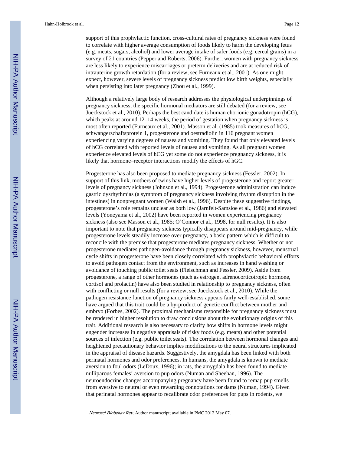support of this prophylactic function, cross-cultural rates of pregnancy sickness were found to correlate with higher average consumption of foods likely to harm the developing fetus (e.g. meats, sugars, alcohol) and lower average intake of safer foods (e.g. cereal grains) in a survey of 21 countries (Pepper and Roberts, 2006). Further, women with pregnancy sickness are less likely to experience miscarriages or preterm deliveries and are at reduced risk of intrauterine growth retardation (for a review, see Furneaux et al., 2001). As one might expect, however, severe levels of pregnancy sickness predict low birth weights, especially when persisting into later pregnancy (Zhou et al., 1999).

Although a relatively large body of research addresses the physiological underpinnings of pregnancy sickness, the specific hormonal mediators are still debated (for a review, see Jueckstock et al., 2010). Perhaps the best candidate is human chorionic gonadotropin (hCG), which peaks at around 12–14 weeks, the period of gestation when pregnancy sickness is most often reported (Furneaux et al., 2001). Masson et al. (1985) took measures of hCG, schwangerschaftsprotein 1, progesterone and oestradiolin in 116 pregnant women experiencing varying degrees of nausea and vomiting. They found that only elevated levels of hCG correlated with reported levels of nausea and vomiting. As all pregnant women experience elevated levels of hCG yet some do not experience pregnancy sickness, it is likely that hormone–receptor interactions modify the effects of hGC.

Progesterone has also been proposed to mediate pregnancy sickness (Fessler, 2002). In support of this link, mothers of twins have higher levels of progesterone and report greater levels of pregnancy sickness (Johnson et al., 1994). Progesterone administration can induce gastric dysrhythmias (a symptom of pregnancy sickness involving rhythm disruption in the intestines) in nonpregnant women (Walsh et al., 1996). Despite these suggestive findings, progesterone's role remains unclear as both low (Jarnfelt-Samsioe et al., 1986) and elevated levels (Yoneyama et al., 2002) have been reported in women experiencing pregnancy sickness (also see Masson et al., 1985; O'Connor et al., 1998, for null results). It is also important to note that pregnancy sickness typically disappears around mid-pregnancy, while progesterone levels steadily increase over pregnancy, a basic pattern which is difficult to reconcile with the premise that progesterone mediates pregnancy sickness. Whether or not progesterone mediates pathogen-avoidance through pregnancy sickness, however, menstrual cycle shifts in progesterone have been closely correlated with prophylactic behavioral efforts to avoid pathogen contact from the environment, such as increases in hand washing or avoidance of touching public toilet seats (Fleischman and Fessler, 2009). Aside from progesterone, a range of other hormones (such as estrogen, adrenocorticotropic hormone, cortisol and prolactin) have also been studied in relationship to pregnancy sickness, often with conflicting or null results (for a review, see Jueckstock et al., 2010). While the pathogen resistance function of pregnancy sickness appears fairly well-established, some have argued that this trait could be a by-product of genetic conflict between mother and embryo (Forbes, 2002). The proximal mechanisms responsible for pregnancy sickness must be rendered in higher resolution to draw conclusions about the evolutionary origins of this trait. Additional research is also necessary to clarify how shifts in hormone levels might engender increases in negative appraisals of risky foods (e.g. meats) and other potential sources of infection (e.g. public toilet seats). The correlation between hormonal changes and heightened precautionary behavior implies modifications to the neural structures implicated in the appraisal of disease hazards. Suggestively, the amygdala has been linked with both perinatal hormones and odor preferences. In humans, the amygdala is known to mediate aversion to foul odors (LeDoux, 1996); in rats, the amygdala has been found to mediate nulliparous females' aversion to pup odors (Numan and Sheehan, 1996). The neuroendocrine changes accompanying pregnancy have been found to remap pup smells from aversive to neutral or even rewarding connotations for dams (Numan, 1994). Given that perinatal hormones appear to recalibrate odor preferences for pups in rodents, we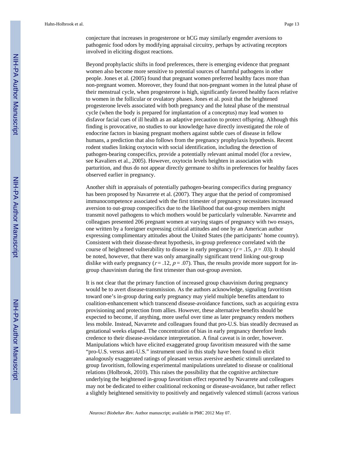conjecture that increases in progesterone or hCG may similarly engender aversions to pathogenic food odors by modifying appraisal circuitry, perhaps by activating receptors involved in eliciting disgust reactions.

Beyond prophylactic shifts in food preferences, there is emerging evidence that pregnant women also become more sensitive to potential sources of harmful pathogens in other people. Jones et al. (2005) found that pregnant women preferred healthy faces more than non-pregnant women. Moreover, they found that non-pregnant women in the luteal phase of their menstrual cycle, when progesterone is high, significantly favored healthy faces relative to women in the follicular or ovulatory phases. Jones et al. posit that the heightened progesterone levels associated with both pregnancy and the luteal phase of the menstrual cycle (when the body is prepared for implantation of a conceptus) may lead women to disfavor facial cues of ill health as an adaptive precaution to protect offspring. Although this finding is provocative, no studies to our knowledge have directly investigated the role of endocrine factors in biasing pregnant mothers against subtle cues of disease in fellow humans, a prediction that also follows from the pregnancy prophylaxis hypothesis. Recent rodent studies linking oxytocin with social identification, including the detection of pathogen-bearing conspecifics, provide a potentially relevant animal model (for a review, see Kavaliers et al., 2005). However, oxytocin levels heighten in association with parturition, and thus do not appear directly germane to shifts in preferences for healthy faces observed earlier in pregnancy.

Another shift in appraisals of potentially pathogen-bearing conspecifics during pregnancy has been proposed by Navarrete et al. (2007). They argue that the period of compromised immunocompetence associated with the first trimester of pregnancy necessitates increased aversion to out-group conspecifics due to the likelihood that out-group members might transmit novel pathogens to which mothers would be particularly vulnerable. Navarrete and colleagues presented 206 pregnant women at varying stages of pregnancy with two essays, one written by a foreigner expressing critical attitudes and one by an American author expressing complimentary attitudes about the United States (the participants' home country). Consistent with their disease-threat hypothesis, in-group preference correlated with the course of heightened vulnerability to disease in early pregnancy ( $r = .15$ ,  $p = .03$ ). It should be noted, however, that there was only amarginally significant trend linking out-group dislike with early pregnancy ( $r = .12$ ,  $p = .07$ ). Thus, the results provide more support for ingroup chauvinism during the first trimester than out-group aversion.

It is not clear that the primary function of increased group chauvinism during pregnancy would be to avert disease-transmission. As the authors acknowledge, signaling favoritism toward one's in-group during early pregnancy may yield multiple benefits attendant to coalition-enhancement which transcend disease-avoidance functions, such as acquiring extra provisioning and protection from allies. However, these alternative benefits should be expected to become, if anything, more useful over time as later pregnancy renders mothers less mobile. Instead, Navarrete and colleagues found that pro-U.S. bias steadily decreased as gestational weeks elapsed. The concentration of bias in early pregnancy therefore lends credence to their disease-avoidance interpretation. A final caveat is in order, however. Manipulations which have elicited exaggerated group favoritism measured with the same "pro-U.S. versus anti-U.S." instrument used in this study have been found to elicit analogously exaggerated ratings of pleasant versus aversive aesthetic stimuli unrelated to group favoritism, following experimental manipulations unrelated to disease or coalitional relations (Holbrook, 2010). This raises the possibility that the cognitive architecture underlying the heightened in-group favoritism effect reported by Navarrete and colleagues may not be dedicated to either coalitional reckoning or disease-avoidance, but rather reflect a slightly heightened sensitivity to positively and negatively valenced stimuli (across various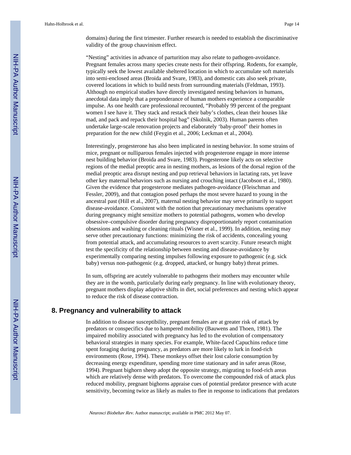domains) during the first trimester. Further research is needed to establish the discriminative validity of the group chauvinism effect.

"Nesting" activities in advance of parturition may also relate to pathogen-avoidance. Pregnant females across many species create nests for their offspring. Rodents, for example, typically seek the lowest available sheltered location in which to accumulate soft materials into semi-enclosed areas (Broida and Svare, 1983), and domestic cats also seek private, covered locations in which to build nests from surrounding materials (Feldman, 1993). Although no empirical studies have directly investigated nesting behaviors in humans, anecdotal data imply that a preponderance of human mothers experience a comparable impulse. As one health care professional recounted, "Probably 99 percent of the pregnant women I see have it. They stack and restack their baby's clothes, clean their houses like mad, and pack and repack their hospital bag" (Skolnik, 2003). Human parents often undertake large-scale renovation projects and elaborately 'baby-proof' their homes in preparation for the new child (Feygin et al., 2006; Leckman et al., 2004).

Interestingly, progesterone has also been implicated in nesting behavior. In some strains of mice, pregnant or nulliparous females injected with progesterone engage in more intense nest building behavior (Broida and Svare, 1983). Progesterone likely acts on selective regions of the medial preoptic area in nesting mothers, as lesions of the dorsal region of the medial preoptic area disrupt nesting and pup retrieval behaviors in lactating rats, yet leave other key maternal behaviors such as nursing and crouching intact (Jacobson et al., 1980). Given the evidence that progesterone mediates pathogen-avoidance (Fleischman and Fessler, 2009), and that contagion posed perhaps the most severe hazard to young in the ancestral past (Hill et al., 2007), maternal nesting behavior may serve primarily to support disease-avoidance. Consistent with the notion that precautionary mechanisms operative during pregnancy might sensitize mothers to potential pathogens, women who develop obsessive–compulsive disorder during pregnancy disproportionately report contamination obsessions and washing or cleaning rituals (Wisner et al., 1999). In addition, nesting may serve other precautionary functions: minimizing the risk of accidents, concealing young from potential attack, and accumulating resources to avert scarcity. Future research might test the specificity of the relationship between nesting and disease-avoidance by experimentally comparing nesting impulses following exposure to pathogenic (e.g. sick baby) versus non-pathogenic (e.g. dropped, attacked, or hungry baby) threat primes.

In sum, offspring are acutely vulnerable to pathogens their mothers may encounter while they are in the womb, particularly during early pregnancy. In line with evolutionary theory, pregnant mothers display adaptive shifts in diet, social preferences and nesting which appear to reduce the risk of disease contraction.

#### **8. Pregnancy and vulnerability to attack**

In addition to disease susceptibility, pregnant females are at greater risk of attack by predators or conspecifics due to hampered mobility (Bauwens and Thoen, 1981). The impaired mobility associated with pregnancy has led to the evolution of compensatory behavioral strategies in many species. For example, White-faced Capuchins reduce time spent foraging during pregnancy, as predators are more likely to lurk in food-rich environments (Rose, 1994). These monkeys offset their lost calorie consumption by decreasing energy expenditure, spending more time stationary and in safer areas (Rose, 1994). Pregnant bighorn sheep adopt the opposite strategy, migrating to food-rich areas which are relatively dense with predators. To overcome the compounded risk of attack plus reduced mobility, pregnant bighorns appraise cues of potential predator presence with acute sensitivity, becoming twice as likely as males to flee in response to indications that predators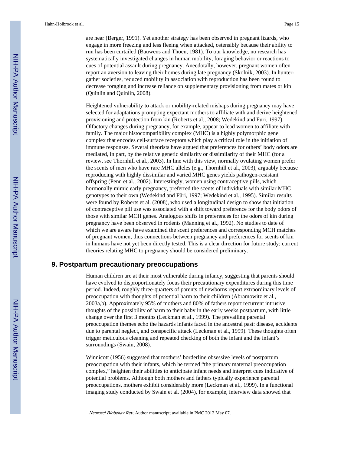are near (Berger, 1991). Yet another strategy has been observed in pregnant lizards, who engage in more freezing and less fleeing when attacked, ostensibly because their ability to run has been curtailed (Bauwens and Thoen, 1981). To our knowledge, no research has systematically investigated changes in human mobility, foraging behavior or reactions to cues of potential assault during pregnancy. Anecdotally, however, pregnant women often report an aversion to leaving their homes during late pregnancy (Skolnik, 2003). In huntergather societies, reduced mobility in association with reproduction has been found to decrease foraging and increase reliance on supplementary provisioning from mates or kin (Quinlin and Quinlin, 2008).

Heightened vulnerability to attack or mobility-related mishaps during pregnancy may have selected for adaptations prompting expectant mothers to affiliate with and derive heightened provisioning and protection from kin (Roberts et al., 2008; Wedekind and Füri, 1997). Olfactory changes during pregnancy, for example, appear to lead women to affiliate with family. The major histocompatibility complex (MHC) is a highly polymorphic gene complex that encodes cell-surface receptors which play a critical role in the initiation of immune responses. Several theorists have argued that preferences for others' body odors are mediated, in part, by the relative genetic similarity or dissimilarity of their MHC (for a review, see Thornhill et al., 2003). In line with this view, normally ovulating women prefer the scents of men who have rare MHC alleles (e.g., Thornhill et al., 2003), arguably because reproducing with highly dissimilar and varied MHC genes yields pathogen-resistant offspring (Penn et al., 2002). Interestingly, women using contraceptive pills, which hormonally mimic early pregnancy, preferred the scents of individuals with similar MHC genotypes to their own (Wedekind and Füri, 1997; Wedekind et al., 1995). Similar results were found by Roberts et al. (2008), who used a longitudinal design to show that initiation of contraceptive pill use was associated with a shift toward preference for the body odors of those with similar MCH genes. Analogous shifts in preferences for the odors of kin during pregnancy have been observed in rodents (Manning et al., 1992). No studies to date of which we are aware have examined the scent preferences and corresponding MCH matches of pregnant women, thus connections between pregnancy and preferences for scents of kin in humans have not yet been directly tested. This is a clear direction for future study; current theories relating MHC to pregnancy should be considered preliminary.

#### **9. Postpartum precautionary preoccupations**

Human children are at their most vulnerable during infancy, suggesting that parents should have evolved to disproportionately focus their precautionary expenditures during this time period. Indeed, roughly three-quarters of parents of newborns report extraordinary levels of preoccupation with thoughts of potential harm to their children (Abramowitz et al., 2003a,b). Approximately 95% of mothers and 80% of fathers report recurrent intrusive thoughts of the possibility of harm to their baby in the early weeks postpartum, with little change over the first 3 months (Leckman et al., 1999). The prevailing parental preoccupation themes echo the hazards infants faced in the ancestral past: disease, accidents due to parental neglect, and conspecific attack (Leckman et al., 1999). These thoughts often trigger meticulous cleaning and repeated checking of both the infant and the infant's surroundings (Swain, 2008).

Winnicott (1956) suggested that mothers' borderline obsessive levels of postpartum preoccupation with their infants, which he termed "the primary maternal preoccupation complex," heighten their abilities to anticipate infant needs and interpret cues indicative of potential problems. Although both mothers and fathers typically experience parental preoccupations, mothers exhibit considerably more (Leckman et al., 1999). In a functional imaging study conducted by Swain et al. (2004), for example, interview data showed that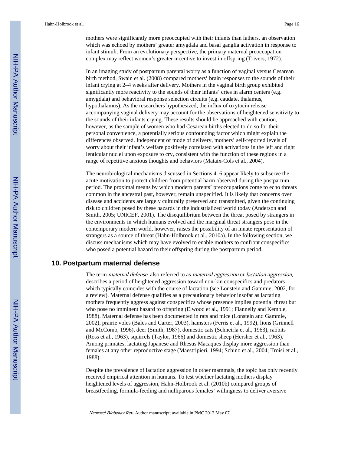mothers were significantly more preoccupied with their infants than fathers, an observation which was echoed by mothers' greater amygdala and basal ganglia activation in response to infant stimuli. From an evolutionary perspective, the primary maternal preoccupation complex may reflect women's greater incentive to invest in offspring (Trivers, 1972).

In an imaging study of postpartum parental worry as a function of vaginal versus Cesarean birth method, Swain et al. (2008) compared mothers' brain responses to the sounds of their infant crying at 2–4 weeks after delivery. Mothers in the vaginal birth group exhibited significantly more reactivity to the sounds of their infants' cries in alarm centers (e.g. amygdala) and behavioral response selection circuits (e.g. caudate, thalamus, hypothalamus). As the researchers hypothesized, the influx of oxytocin release accompanying vaginal delivery may account for the observations of heightened sensitivity to the sounds of their infants crying. These results should be approached with caution, however, as the sample of women who had Cesarean births elected to do so for their personal convenience, a potentially serious confounding factor which might explain the differences observed. Independent of mode of delivery, mothers' self-reported levels of worry about their infant's welfare positively correlated with activations in the left and right lenticular nuclei upon exposure to cry, consistent with the function of these regions in a range of repetitive anxious thoughts and behaviors (Mataix-Cols et al., 2004).

The neurobiological mechanisms discussed in Sections 4–6 appear likely to subserve the acute motivation to protect children from potential harm observed during the postpartum period. The proximal means by which modern parents' preoccupations come to echo threats common in the ancestral past, however, remain unspecified. It is likely that concerns over disease and accidents are largely culturally preserved and transmitted, given the continuing risk to children posed by these hazards in the industrialized world today (Anderson and Smith, 2005; UNICEF, 2001). The disequilibrium between the threat posed by strangers in the environments in which humans evolved and the marginal threat strangers pose in the contemporary modern world, however, raises the possibility of an innate representation of strangers as a source of threat (Hahn-Holbrook et al., 2010a). In the following section, we discuss mechanisms which may have evolved to enable mothers to confront conspecifics who posed a potential hazard to their offspring during the postpartum period.

#### **10. Postpartum maternal defense**

The term maternal defense, also referred to as maternal aggression or lactation aggression, describes a period of heightened aggression toward non-kin conspecifics and predators which typically coincides with the course of lactation (see Lonstein and Gammie, 2002, for a review). Maternal defense qualifies as a precautionary behavior insofar as lactating mothers frequently aggress against conspecifics whose presence implies potential threat but who pose no imminent hazard to offspring (Elwood et al., 1991; Flannelly and Kemble, 1988). Maternal defense has been documented in rats and mice (Lonstein and Gammie, 2002), prairie voles (Bales and Carter, 2003), hamsters (Ferris et al., 1992), lions (Grinnell and McComb, 1996), deer (Smith, 1987), domestic cats (Schneirla et al., 1963), rabbits (Ross et al., 1963), squirrels (Taylor, 1966) and domestic sheep (Hersher et al., 1963). Among primates, lactating Japanese and Rhesus Macaques display more aggression than females at any other reproductive stage (Maestripieri, 1994; Schino et al., 2004; Troisi et al., 1988).

Despite the prevalence of lactation aggression in other mammals, the topic has only recently received empirical attention in humans. To test whether lactating mothers display heightened levels of aggression, Hahn-Holbrook et al. (2010b) compared groups of breastfeeding, formula-feeding and nulliparous females' willingness to deliver aversive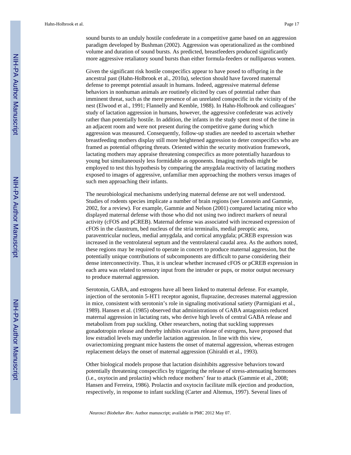sound bursts to an unduly hostile confederate in a competitive game based on an aggression paradigm developed by Bushman (2002). Aggression was operationalized as the combined volume and duration of sound bursts. As predicted, breastfeeders produced significantly more aggressive retaliatory sound bursts than either formula-feeders or nulliparous women.

Given the significant risk hostile conspecifics appear to have posed to offspring in the ancestral past (Hahn-Holbrook et al., 2010a), selection should have favored maternal defense to preempt potential assault in humans. Indeed, aggressive maternal defense behaviors in nonhuman animals are routinely elicited by cues of potential rather than imminent threat, such as the mere presence of an unrelated conspecific in the vicinity of the nest (Elwood et al., 1991; Flannelly and Kemble, 1988). In Hahn-Holbrook and colleagues' study of lactation aggression in humans, however, the aggressive confederate was actively rather than potentially hostile. In addition, the infants in the study spent most of the time in an adjacent room and were not present during the competitive game during which aggression was measured. Consequently, follow-up studies are needed to ascertain whether breastfeeding mothers display still more heightened aggression to deter conspecifics who are framed as potential offspring threats. Oriented within the security motivation framework, lactating mothers may appraise threatening conspecifics as more potentially hazardous to young but simultaneously less formidable as opponents. Imaging methods might be employed to test this hypothesis by comparing the amygdala reactivity of lactating mothers exposed to images of aggressive, unfamiliar men approaching the mothers versus images of such men approaching their infants.

The neurobiological mechanisms underlying maternal defense are not well understood. Studies of rodents species implicate a number of brain regions (see Lonstein and Gammie, 2002, for a review). For example, Gammie and Nelson (2001) compared lactating mice who displayed maternal defense with those who did not using two indirect markers of neural activity (cFOS and pCREB). Maternal defense was associated with increased expression of cFOS in the claustrum, bed nucleus of the stria terminalis, medial preoptic area, paraventricular nucleus, medial amygdala, and cortical amygdala; pCREB expression was increased in the ventrolateral septum and the ventrolateral caudal area. As the authors noted, these regions may be required to operate in concert to produce maternal aggression, but the potentially unique contributions of subcomponents are difficult to parse considering their dense interconnectivity. Thus, it is unclear whether increased cFOS or pCREB expression in each area was related to sensory input from the intruder or pups, or motor output necessary to produce maternal aggression.

Serotonin, GABA, and estrogens have all been linked to maternal defense. For example, injection of the serotonin 5-HT1 receptor agonist, fluprazine, decreases maternal aggression in mice, consistent with serotonin's role in signaling motivational satiety (Parmigiani et al., 1989). Hansen et al. (1985) observed that administrations of GABA antagonists reduced maternal aggression in lactating rats, who derive high levels of central GABA release and metabolism from pup suckling. Other researchers, noting that suckling suppresses gonadotropin release and thereby inhibits ovarian release of estrogens, have proposed that low estradiol levels may underlie lactation aggression. In line with this view, ovariectomizing pregnant mice hastens the onset of maternal aggression, whereas estrogen replacement delays the onset of maternal aggression (Ghiraldi et al., 1993).

Other biological models propose that lactation disinhibits aggressive behaviors toward potentially threatening conspecifics by triggering the release of stress-attenuating hormones (i.e., oxytocin and prolactin) which reduce mothers' fear to attack (Gammie et al., 2008; Hansen and Ferreira, 1986). Prolactin and oxytocin facilitate milk ejection and production, respectively, in response to infant suckling (Carter and Altemus, 1997). Several lines of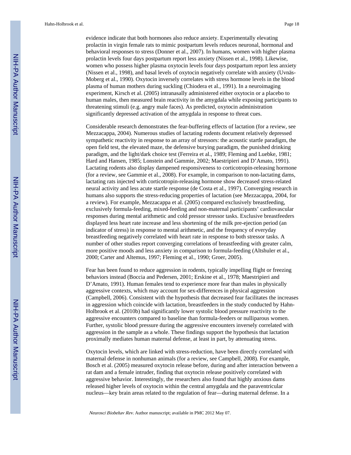Hahn-Holbrook et al. Page 18

evidence indicate that both hormones also reduce anxiety. Experimentally elevating prolactin in virgin female rats to mimic postpartum levels reduces neuronal, hormonal and behavioral responses to stress (Donner et al., 2007). In humans, women with higher plasma prolactin levels four days postpartum report less anxiety (Nissen et al., 1998). Likewise, women who possess higher plasma oxytocin levels four days postpartum report less anxiety (Nissen et al., 1998), and basal levels of oxytocin negatively correlate with anxiety (Uvnäs-Moberg et al., 1990). Oxytocin inversely correlates with stress hormone levels in the blood plasma of human mothers during suckling (Chiodera et al., 1991). In a neuroimaging experiment, Kirsch et al. (2005) intranasally administered either oxytocin or a placebo to human males, then measured brain reactivity in the amygdala while exposing participants to threatening stimuli (e.g. angry male faces). As predicted, oxytocin administration significantly depressed activation of the amygdala in response to threat cues.

Considerable research demonstrates the fear-buffering effects of lactation (for a review, see Mezzacappa, 2004). Numerous studies of lactating rodents document relatively depressed sympathetic reactivity in response to an array of stressors: the acoustic startle paradigm, the open field test, the elevated maze, the defensive burying paradigm, the punished drinking paradigm, and the light/dark choice test (Ferreira et al., 1989; Fleming and Luebke, 1981; Hard and Hansen, 1985; Lonstein and Gammie, 2002; Maestripieri and D'Amato, 1991). Lactating rodents also display dampened responsiveness to corticotropin-releasing hormone (for a review, see Gammie et al., 2008). For example, in comparison to non-lactating dams, lactating rats injected with corticotropin-releasing hormone show decreased stress-related neural activity and less acute startle response (de Costa et al., 1997). Converging research in humans also supports the stress-reducing properties of lactation (see Mezzacappa, 2004, for a review). For example, Mezzacappa et al. (2005) compared exclusively breastfeeding, exclusively formula-feeding, mixed-feeding and non-maternal participants' cardiovascular responses during mental arithmetic and cold pressor stressor tasks. Exclusive breastfeeders displayed less heart rate increase and less shortening of the milk pre-ejection period (an indicator of stress) in response to mental arithmetic, and the frequency of everyday breastfeeding negatively correlated with heart rate in response to both stressor tasks. A number of other studies report converging correlations of breastfeeding with greater calm, more positive moods and less anxiety in comparison to formula-feeding (Altshuler et al., 2000; Carter and Altemus, 1997; Fleming et al., 1990; Groer, 2005).

Fear has been found to reduce aggression in rodents, typically impelling flight or freezing behaviors instead (Boccia and Pedersen, 2001; Erskine et al., 1978; Maestripieri and D'Amato, 1991). Human females tend to experience more fear than males in physically aggressive contexts, which may account for sex-differences in physical aggression (Campbell, 2006). Consistent with the hypothesis that decreased fear facilitates the increases in aggression which coincide with lactation, breastfeeders in the study conducted by Hahn-Holbrook et al. (2010b) had significantly lower systolic blood pressure reactivity to the aggressive encounters compared to baseline than formula-feeders or nulliparous women. Further, systolic blood pressure during the aggressive encounters inversely correlated with aggression in the sample as a whole. These findings support the hypothesis that lactation proximally mediates human maternal defense, at least in part, by attenuating stress.

Oxytocin levels, which are linked with stress-reduction, have been directly correlated with maternal defense in nonhuman animals (for a review, see Campbell, 2008). For example, Bosch et al. (2005) measured oxytocin release before, during and after interaction between a rat dam and a female intruder, finding that oxytocin release positively correlated with aggressive behavior. Interestingly, the researchers also found that highly anxious dams released higher levels of oxytocin within the central amygdala and the paraventricular nucleus—key brain areas related to the regulation of fear—during maternal defense. In a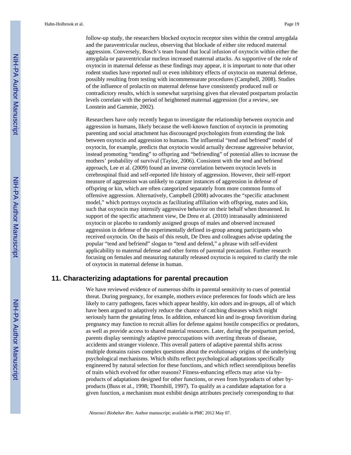Hahn-Holbrook et al. Page 19

follow-up study, the researchers blocked oxytocin receptor sites within the central amygdala and the paraventricular nucleus, observing that blockade of either site reduced maternal aggression. Conversely, Bosch's team found that local infusion of oxytocin within either the amygdala or paraventricular nucleus increased maternal attacks. As supportive of the role of oxytocin in maternal defense as these findings may appear, it is important to note that other rodent studies have reported null or even inhibitory effects of oxytocin on maternal defense, possibly resulting from testing with incommensurate procedures (Campbell, 2008). Studies of the influence of prolactin on maternal defense have consistently produced null or contradictory results, which is somewhat surprising given that elevated postpartum prolactin levels correlate with the period of heightened maternal aggression (for a review, see Lonstein and Gammie, 2002).

Researchers have only recently begun to investigate the relationship between oxytocin and aggression in humans, likely because the well-known function of oxytocin in promoting parenting and social attachment has discouraged psychologists from extending the link between oxytocin and aggression to humans. The influential "tend and befriend" model of oxytocin, for example, predicts that oxytocin would actually decrease aggressive behavior, instead promoting "tending" to offspring and "befriending" of potential allies to increase the mothers' probability of survival (Taylor, 2006). Consistent with the tend and befriend approach, Lee et al. (2009) found an inverse correlation between oxytocin levels in cerebrospinal fluid and self-reported life history of aggression. However, their self-report measure of aggression was unlikely to capture instances of aggression in defense of offspring or kin, which are often categorized separately from more common forms of offensive aggression. Alternatively, Campbell (2008) advocates the "specific attachment model," which portrays oxytocin as facilitating affiliation with offspring, mates and kin, such that oxytocin may intensify aggressive behavior on their behalf when threatened. In support of the specific attachment view, De Dreu et al. (2010) intranasally administered oxytocin or placebo to randomly assigned groups of males and observed increased aggression in defense of the experimentally defined in-group among participants who received oxytocin. On the basis of this result, De Dreu and colleagues advise updating the popular "tend and befriend" slogan to "tend and defend," a phrase with self-evident applicability to maternal defense and other forms of parental precaution. Further research focusing on females and measuring naturally released oxytocin is required to clarify the role of oxytocin in maternal defense in human.

#### **11. Characterizing adaptations for parental precaution**

We have reviewed evidence of numerous shifts in parental sensitivity to cues of potential threat. During pregnancy, for example, mothers evince preferences for foods which are less likely to carry pathogens, faces which appear healthy, kin odors and in-groups, all of which have been argued to adaptively reduce the chance of catching diseases which might seriously harm the gestating fetus. In addition, enhanced kin and in-group favoritism during pregnancy may function to recruit allies for defense against hostile conspecifics or predators, as well as provide access to shared material resources. Later, during the postpartum period, parents display seemingly adaptive preoccupations with averting threats of disease, accidents and stranger violence. This overall pattern of adaptive parental shifts across multiple domains raises complex questions about the evolutionary origins of the underlying psychological mechanisms. Which shifts reflect psychological adaptations specifically engineered by natural selection for these functions, and which reflect serendipitous benefits of traits which evolved for other reasons? Fitness-enhancing effects may arise via byproducts of adaptations designed for other functions, or even from byproducts of other byproducts (Buss et al., 1998; Thornhill, 1997). To qualify as a candidate adaptation for a given function, a mechanism must exhibit design attributes precisely corresponding to that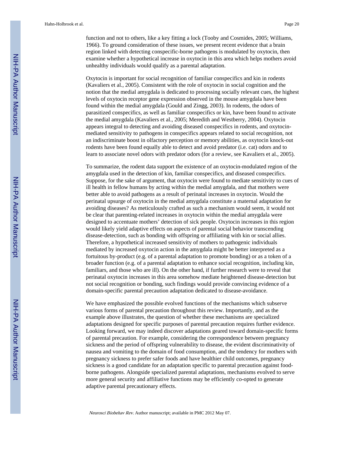function and not to others, like a key fitting a lock (Tooby and Cosmides, 2005; Williams, 1966). To ground consideration of these issues, we present recent evidence that a brain region linked with detecting conspecific-borne pathogens is modulated by oxytocin, then examine whether a hypothetical increase in oxytocin in this area which helps mothers avoid unhealthy individuals would qualify as a parental adaptation.

Oxytocin is important for social recognition of familiar conspecifics and kin in rodents (Kavaliers et al., 2005). Consistent with the role of oxytocin in social cognition and the notion that the medial amygdala is dedicated to processing socially relevant cues, the highest levels of oxytocin receptor gene expression observed in the mouse amygdala have been found within the medial amygdala (Gould and Zingg, 2003). In rodents, the odors of parasitized conspecifics, as well as familiar conspecifics or kin, have been found to activate the medial amygdala (Kavaliers et al., 2005; Meredith and Westberry, 2004). Oxytocin appears integral to detecting and avoiding diseased conspecifics in rodents, and oxytocinmediated sensitivity to pathogens in conspecifics appears related to social recognition, not an indiscriminate boost in olfactory perception or memory abilities, as oxytocin knock-out rodents have been found equally able to detect and avoid predator (i.e. cat) odors and to learn to associate novel odors with predator odors (for a review, see Kavaliers et al., 2005).

To summarize, the rodent data support the existence of an oxytocin-modulated region of the amygdala used in the detection of kin, familiar conspecifics, and diseased conspecifics. Suppose, for the sake of argument, that oxytocin were found to mediate sensitivity to cues of ill health in fellow humans by acting within the medial amygdala, and that mothers were better able to avoid pathogens as a result of perinatal increases in oxytocin. Would the perinatal upsurge of oxytocin in the medial amygdala constitute a maternal adaptation for avoiding diseases? As meticulously crafted as such a mechanism would seem, it would not be clear that parenting-related increases in oxytocin within the medial amygdala were designed to accentuate mothers' detection of sick people. Oxytocin increases in this region would likely yield adaptive effects on aspects of parental social behavior transcending disease-detection, such as bonding with offspring or affiliating with kin or social allies. Therefore, a hypothetical increased sensitivity of mothers to pathogenic individuals mediated by increased oxytocin action in the amygdala might be better interpreted as a fortuitous by-product (e.g. of a parental adaptation to promote bonding) or as a token of a broader function (e.g. of a parental adaptation to enhance social recognition, including kin, familiars, and those who are ill). On the other hand, if further research were to reveal that perinatal oxytocin increases in this area somehow mediate heightened disease-detection but not social recognition or bonding, such findings would provide convincing evidence of a domain-specific parental precaution adaptation dedicated to disease-avoidance.

We have emphasized the possible evolved functions of the mechanisms which subserve various forms of parental precaution throughout this review. Importantly, and as the example above illustrates, the question of whether these mechanisms are specialized adaptations designed for specific purposes of parental precaution requires further evidence. Looking forward, we may indeed discover adaptations geared toward domain-specific forms of parental precaution. For example, considering the correspondence between pregnancy sickness and the period of offspring vulnerability to disease, the evident discriminativity of nausea and vomiting to the domain of food consumption, and the tendency for mothers with pregnancy sickness to prefer safer foods and have healthier child outcomes, pregnancy sickness is a good candidate for an adaptation specific to parental precaution against foodborne pathogens. Alongside specialized parental adaptations, mechanisms evolved to serve more general security and affiliative functions may be efficiently co-opted to generate adaptive parental precautionary effects.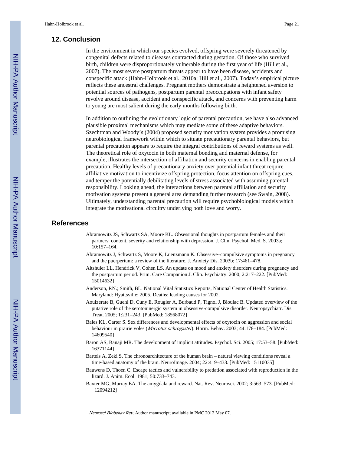#### **12. Conclusion**

In the environment in which our species evolved, offspring were severely threatened by congenital defects related to diseases contracted during gestation. Of those who survived birth, children were disproportionately vulnerable during the first year of life (Hill et al., 2007). The most severe postpartum threats appear to have been disease, accidents and conspecific attack (Hahn-Holbrook et al., 2010a; Hill et al., 2007). Today's empirical picture reflects these ancestral challenges. Pregnant mothers demonstrate a heightened aversion to potential sources of pathogens, postpartum parental preoccupations with infant safety revolve around disease, accident and conspecific attack, and concerns with preventing harm to young are most salient during the early months following birth.

In addition to outlining the evolutionary logic of parental precaution, we have also advanced plausible proximal mechanisms which may mediate some of these adaptive behaviors. Szechtman and Woody's (2004) proposed security motivation system provides a promising neurobiological framework within which to situate precautionary parental behaviors, but parental precaution appears to require the integral contributions of reward systems as well. The theoretical role of oxytocin in both maternal bonding and maternal defense, for example, illustrates the intersection of affiliation and security concerns in enabling parental precaution. Healthy levels of precautionary anxiety over potential infant threat require affiliative motivation to incentivize offspring protection, focus attention on offspring cues, and temper the potentially debilitating levels of stress associated with assuming parental responsibility. Looking ahead, the interactions between parental affiliation and security motivation systems present a general area demanding further research (see Swain, 2008). Ultimately, understanding parental precaution will require psychobiological models which integrate the motivational circuitry underlying both love and worry.

#### **References**

- Abramowitz JS, Schwartz SA, Moore KL. Obsessional thoughts in postpartum females and their partners: content, severity and relationship with depression. J. Clin. Psychol. Med. S. 2003a; 10:157–164.
- Abramowitz J, Schwartz S, Moore K, Luenzmann K. Obsessive–compulsive symptoms in pregnancy and the puerperium: a review of the literature. J. Anxiety Dis. 2003b; 17:461–478.
- Altshuler LL, Hendrick V, Cohen LS. An update on mood and anxiety disorders during pregnancy and the postpartum period. Prim. Care Companion J. Clin. Psychiatry. 2000; 2:217–222. [PubMed: 15014632]
- Anderson, RN.; Smith, BL. National Vital Statistics Reports, National Center of Health Statistics. Maryland: Hyattsville; 2005. Deaths: leading causes for 2002.
- Aouizerate B, Guehl D, Cuny E, Rougier A, Burbaud P, Tignol J, Bioulac B. Updated overview of the putative role of the serotoninergic system in obsessive-compulsive disorder. Neuropsychiatr. Dis. Treat. 2005; 1:231–243. [PubMed: 18568072]
- Bales KL, Carter S. Sex differences and developmental effects of oxytocin on aggression and social behaviour in prairie voles (Microtus ochrogaster). Horm. Behav. 2003; 44:178–184. [PubMed: 14609540]
- Baron AS, Banaji MR. The development of implicit attitudes. Psychol. Sci. 2005; 17:53–58. [PubMed: 16371144]
- Bartels A, Zeki S. The chronoarchitecture of the human brain natural viewing conditions reveal a time-based anatomy of the brain. NeuroImage. 2004; 22:419–433. [PubMed: 15110035]
- Bauwens D, Thoen C. Escape tactics and vulnerability to predation associated with reproduction in the lizard. J. Anim. Ecol. 1981; 50:733–743.
- Baxter MG, Murray EA. The amygdala and reward. Nat. Rev. Neurosci. 2002; 3:563–573. [PubMed: 12094212]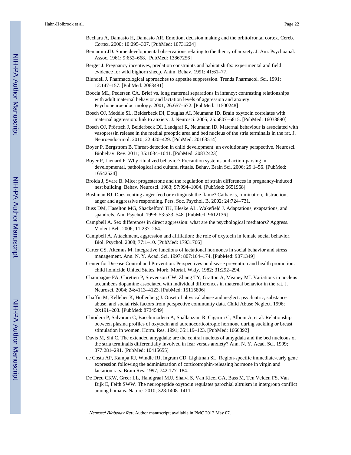- Bechara A, Damasio H, Damasio AR. Emotion, decision making and the orbitofrontal cortex. Cereb. Cortex. 2000; 10:295–307. [PubMed: 10731224]
- Benjamin JD. Some developmental observations relating to the theory of anxiety. J. Am. Psychoanal. Assoc. 1961; 9:652–668. [PubMed: 13867256]
- Berger J. Pregnancy incentives, predation constraints and habitat shifts: experimental and field evidence for wild bighorn sheep. Anim. Behav. 1991; 41:61–77.
- Blundell J. Pharmacological approaches to appetite suppression. Trends Pharmacol. Sci. 1991; 12:147–157. [PubMed: 2063481]
- Boccia ML, Pedersen CA. Brief vs. long maternal separations in infancy: contrasting relationships with adult maternal behavior and lactation levels of aggression and anxiety. Psychoneuroendocrinology. 2001; 26:657–672. [PubMed: 11500248]
- Bosch OJ, Meddle SL, Beiderbeck DI, Douglas AI, Neumann ID. Brain oxytocin correlates with maternal aggression: link to anxiety. J. Neurosci. 2005; 25:6807–6815. [PubMed: 16033890]
- Bosch OJ, Pförtsch J, Beiderbeck DI, Landgraf R, Neumann ID. Maternal behaviour is associated with vasopressin release in the medial preoptic area and bed nucleus of the stria terminalis in the rat. J. Neuroendocrinol. 2010; 22:420–429. [PubMed: 20163514]
- Boyer P, Bergstrom B. Threat-detection in child development: an evolutionary perspective. Neurosci. Biobehav. Rev. 2011; 35:1034–1041. [PubMed: 20832423]
- Boyer P, Lienard P. Why ritualized behavior? Precaution systems and action-parsing in developmental, pathological and cultural rituals. Behav. Brain Sci. 2006; 29:1–56. [PubMed: 16542524]
- Broida J, Svare B. Mice: progesterone and the regulation of strain differences in pregnancy-induced nest building. Behav. Neurosci. 1983; 97:994–1004. [PubMed: 6651968]
- Bushman BJ. Does venting anger feed or extinguish the flame? Catharsis, rumination, distraction, anger and aggressive responding. Pers. Soc. Psychol. B. 2002; 24:724–731.
- Buss DM, Haselton MG, Shackelford TK, Bleske AL, Wakefield J. Adaptations, exaptations, and spandrels. Am. Psychol. 1998; 53:533–548. [PubMed: 9612136]
- Campbell A. Sex differences in direct aggression: what are the psychological mediators? Aggress. Violent Beh. 2006; 11:237–264.
- Campbell A. Attachment, aggression and affiliation: the role of oxytocin in female social behavior. Biol. Psychol. 2008; 77:1–10. [PubMed: 17931766]
- Carter CS, Altemus M. Integrative functions of lactational hormones in social behavior and stress management. Ann. N. Y. Acad. Sci. 1997; 807:164–174. [PubMed: 9071349]
- Center for Disease Control and Prevention. Perspectives on disease prevention and health promotion: child homicide United States. Morb. Mortal. Wkly. 1982; 31:292–294.
- Champagne FA, Chretien P, Stevenson CW, Zhang TY, Gratton A, Meaney MJ. Variations in nucleus accumbens dopamine associated with individual differences in maternal behavior in the rat. J. Neurosci. 2004; 24:4113–4123. [PubMed: 15115806]
- Chaffin M, Kelleher K, Hollenberg J. Onset of physical abuse and neglect: psychiatric, substance abuse, and social risk factors from perspective community data. Child Abuse Neglect. 1996; 20:191–203. [PubMed: 8734549]
- Chiodera P, Salvarani C, Bacchimodena A, Spallanzani R, Cigarini C, Alboni A, et al. Relationship between plasma profiles of oxytocin and adrenocorticotropic hormone during suckling or breast stimulation in women. Horm. Res. 1991; 35:119–123. [PubMed: 1666892]
- Davis M, Shi C. The extended amygdala: are the central nucleus of amygdala and the bed nucleous of the stria terminails differentially involved in fear versus anxiety? Ann. N. Y. Acad. Sci. 1999; 877:281–291. [PubMed: 10415655]
- de Costa AP, Kampa RJ, Windle RJ, Ingram CD, Lightman SL. Region-specific immediate-early gene expression following the administration of corticotrophin-releasing hormone in virgin and lactation rats. Brain Res. 1997; 742:177–184.
- De Dreu CKW, Greer LL, Handgraaf MJJ, Shalvi S, Van Kleef GA, Bass M, Ten Velden FS, Van Dijk E, Feith SWW. The neuropeptide oxytocin regulates parochial altruism in intergroup conflict among humans. Nature. 2010; 328:1408–1411.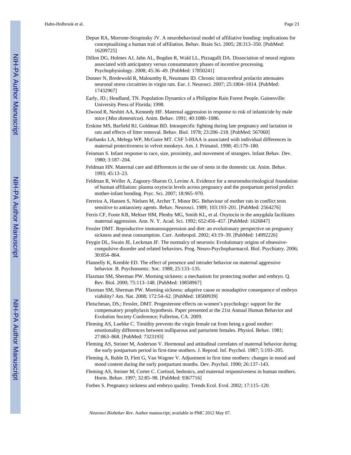- Depue RA, Morrone-Strupinsky JV. A neurobehavioral model of affiliative bonding: implications for conceptualizing a human trait of affiliation. Behav. Brain Sci. 2005; 28:313–350. [PubMed: 16209725]
- Dillon DG, Holmes AJ, Jahn AL, Bogdan R, Wald LL, Pizzagalli DA. Dissociation of neural regions associated with anticipatory versus consummatory phases of incentive processing. Psychophysiology. 2008; 45:36–49. [PubMed: 17850241]
- Donner N, Bredewold R, Maloumby R, Neumann ID. Chronic intracerebral prolactin attenuates neuronal stress circuitries in virgin rats. Eur. J. Neurosci. 2007; 25:1804–1814. [PubMed: 17432967]
- Early, JD.; Headland, TN. Population Dynamics of a Philippine Rain Forest People. Gainesville: University Press of Florida; 1998.
- Elwood R, Nesbitt AA, Kennedy HF. Maternal aggression in response to risk of infanticide by male mice (Mus domesticus). Anim. Behav. 1991; 40:1080–1086.
- Erskine MS, Barfield RJ, Goldman BD. Intraspecific fighting during late pregnancy and lactation in rats and effects of litter removal. Behav. Biol. 1978; 23:206–218. [PubMed: 567060]
- Fairbanks LA, Melega WP, McGuire MT. CSF 5-HIAA is associated with individual differences in maternal protectiveness in velvet monkeys. Am. J. Primatol. 1998; 45:179–180.
- Feinman S. Infant response to race, size, proximity, and movement of strangers. Infant Behav. Dev. 1980; 3:187–204.
- Feldman HN. Maternal care and differences in the use of nests in the domestic cat. Anim. Behav. 1993; 45:13–23.
- Feldman R, Weller A, Zagoory-Sharon O, Levine A. Evidence for a neuroendocrinological foundation of human affiliation: plasma oxytocin levels across pregnancy and the postpartum period predict mother-infant bonding. Psyc. Sci. 2007; 18:965–970.
- Ferreira A, Hansen S, Nielsen M, Archer T, Minor BG. Behaviour of mother rats in conflict tests sensitive to antianxiety agents. Behav. Neurosci. 1989; 103:193–201. [PubMed: 2564276]
- Ferris CF, Foote KB, Meltser HM, Plenby MG, Smith KL, et al. Oxytocin in the amygdala facilitates maternal aggression. Ann. N. Y. Acad. Sci. 1992; 652:456–457. [PubMed: 1626847]
- Fessler DMT. Reproductive immunosuppression and diet: an evolutionary perspective on pregnancy sickness and meat consumption. Curr. Anthropol. 2002; 43:19–39. [PubMed: 14992226]
- Feygin DL, Swain JE, Leckman JF. The normalcy of neurosis: Evolutionary origins of obsessivecompulsive disorder and related behaviors. Prog. Neuro-Psychopharmacol. Biol. Psychiatry. 2006; 30:854–864.
- Flannelly K, Kemble ED. The effect of presence and intruder behavior on maternal aggressive behavior. B. Psychonomic. Soc. 1988; 25:133–135.
- Flaxman SM, Sherman PW. Morning sickness: a mechanism for protecting mother and embryo. Q. Rev. Biol. 2000; 75:113–148. [PubMed: 10858967]
- Flaxman SM, Sherman PW. Morning sickness: adaptive cause or nonadaptive consequence of embryo viability? Am. Nat. 2008; 172:54–62. [PubMed: 18500939]
- Fleischman, DS.; Fessler, DMT. Progesterone effects on women's psychology: support for the compensatory prophylaxis hypothesis. Paper presented at the 21st Annual Human Behavior and Evolution Society Conference; Fullerton, CA. 2009.
- Fleming AS, Luebke C. Timidity prevents the virgin female rat from being a good mother: emotionality differences between nulliparous and parturient females. Physiol. Behav. 1981; 27:863–868. [PubMed: 7323193]
- Fleming AS, Steiner M, Anderson V. Hormonal and attitudinal correlates of maternal behavior during the early postpartum period in first-time mothers. J. Reprod. Inf. Psychol. 1987; 5:193–205.
- Fleming A, Ruble D, Flett G, Van Wagner V. Adjustment in first time mothers: changes in mood and mood content during the early postpartum months. Dev. Psychol. 1990; 26:137–143.
- Fleming AS, Steiner M, Corter C. Cortisol, hedonics, and maternal responsiveness in human mothers. Horm. Behav. 1997; 32:85–98. [PubMed: 9367716]
- Forbes S. Pregnancy sickness and embryo quality. Trends Ecol. Evol. 2002; 17:115–120.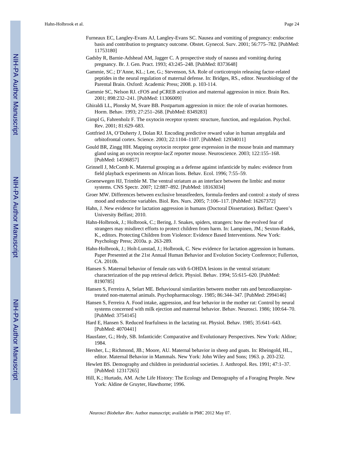- Furneaux EC, Langley-Evans AJ, Langley-Evans SC. Nausea and vomiting of pregnancy: endocrine basis and contribution to pregnancy outcome. Obstet. Gynecol. Surv. 2001; 56:775–782. [PubMed: 11753180]
- Gadsby R, Barnie-Adshead AM, Jagger C. A prospective study of nausea and vomiting during pregnancy. Br. J. Gen. Pract. 1993; 43:245–248. [PubMed: 8373648]
- Gammie, SC.; D'Anne, KL.; Lee, G.; Stevenson, SA. Role of corticotropin releasing factor-related peptides in the neural regulation of maternal defense. In: Bridges, RS., editor. Neurobiology of the Parental Brain. Oxford: Academic Press; 2008. p. 103-114.
- Gammie SC, Nelson RJ. cFOS and pCREB activation and maternal aggression in mice. Brain Res. 2001; 898:232–241. [PubMed: 11306009]
- Ghiraldi LL, Plonsky M, Svare BB. Postpartum aggression in mice: the role of ovarian hormones. Horm. Behav. 1993; 27:251–268. [PubMed: 8349283]
- Gimpl G, Fahrenholz F. The oxytocin receptor system: structure, function, and regulation. Psychol. Rev. 2001; 81:629–683.
- Gottfried JA, O'Doherty J, Dolan RJ. Encoding predictive reward value in human amygdala and orbitofrontal cortex. Science. 2003; 22:1104–1107. [PubMed: 12934011]
- Gould BR, Zingg HH. Mapping oxytocin receptor gene expression in the mouse brain and mammary gland using an oxytocin receptor-lacZ reporter mouse. Neuroscience. 2003; 122:155–168. [PubMed: 14596857]
- Grinnell J, McComb K. Maternal grouping as a defense against infanticide by males: evidence from field playback experiments on African lions. Behav. Ecol. 1996; 7:55–59.
- Groenewegen HJ, Trimble M. The ventral striatum as an interface between the limbic and motor systems. CNS Spectr. 2007; 12:887–892. [PubMed: 18163034]
- Groer MW. Differences between exclusive breastfeeders, formula-feeders and control: a study of stress mood and endocrine variables. Biol. Res. Nurs. 2005; 7:106–117. [PubMed: 16267372]
- Hahn, J. New evidence for lactation aggression in humans (Doctoral Dissertation). Belfast: Queen's University Belfast; 2010.
- Hahn-Holbrook, J.; Holbrook, C.; Bering, J. Snakes, spiders, strangers: how the evolved fear of strangers may misdirect efforts to protect children from harm. In: Lampinen, JM.; Sexton-Radek, K., editors. Protecting Children from Violence: Evidence Based Interventions. New York: Psychology Press; 2010a. p. 263-289.
- Hahn-Holbrook, J.; Holt-Lunstad, J.; Holbrook, C. New evidence for lactation aggression in humans. Paper Presented at the 21st Annual Human Behavior and Evolution Society Conference; Fullerton, CA. 2010b.
- Hansen S. Maternal behavior of female rats with 6-OHDA lesions in the ventral striatum: characterization of the pup retrieval deficit. Physiol. Behav. 1994; 55:615–620. [PubMed: 8190785]
- Hansen S, Ferreira A, Selart ME. Behavioural similarities between mother rats and benzodiazepinetreated non-maternal animals. Psychopharmacology. 1985; 86:344–347. [PubMed: 2994146]
- Hansen S, Ferreira A. Food intake, aggression, and fear behavior in the mother rat: Control by neural systems concerned with milk ejection and maternal behavior. Behav. Neurosci. 1986; 100:64–70. [PubMed: 3754145]
- Hard E, Hansen S. Reduced fearfulness in the lactating rat. Physiol. Behav. 1985; 35:641–643. [PubMed: 4070441]
- Hausfater, G.; Hrdy, SB. Infanticide: Comparative and Evolutionary Perspectives. New York: Aldine; 1984.
- Hersher, L.; Richmond, JB.; Moore, AU. Maternal behavior in sheep and goats. In: Rheingold, HL., editor. Maternal Behavior in Mammals. New York: John Wiley and Sons; 1963. p. 203-232.
- Hewlett BS. Demography and children in preindustrial societies. J. Anthropol. Res. 1991; 47:1–37. [PubMed: 12317265]
- Hill, K.; Hurtado, AM. Ache Life History: The Ecology and Demography of a Foraging People. New York: Aldine de Gruyter, Hawthorne; 1996.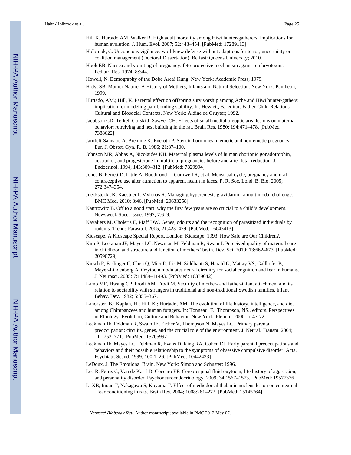- Hill K, Hurtado AM, Walker R. High adult mortality among Hiwi hunter-gatherers: implications for human evolution. J. Hum. Evol. 2007; 52:443–454. [PubMed: 17289113]
- Holbrook, C. Unconcious vigilance: worldview defense without adaptions for terror, uncertainty or coalition management (Doctoral Dissertation). Belfast: Queens University; 2010.
- Hook EB. Nausea and vomiting of pregnancy: feto-protective mechanism against embryotoxins. Pediatr. Res. 1974; 8:344.
- Howell, N. Demography of the Dobe Area! Kung. New York: Academic Press; 1979.
- Hrdy, SB. Mother Nature: A History of Mothers, Infants and Natural Selection. New York: Pantheon; 1999.
- Hurtado, AM.; Hill, K. Parental effect on offspring survivorship among Ache and Hiwi hunter-gathers: implication for modeling pair-bonding stability. In: Hewlett, B., editor. Father-Child Relations: Cultural and Biosocial Contexts. New York: Aldine de Gruyter; 1992.
- Jacobson CD, Terkel, Gorski J, Sawyer CH. Effects of small medial preoptic area lesions on maternal behavior: retreiving and nest building in the rat. Brain Res. 1980; 194:471–478. [PubMed: 7388622]
- Jarnfelt-Samsioe A, Bremme K, Eneroth P. Steroid hormones in emetic and non-emetic pregnancy. Eur. J. Obstet. Gyn. R. B. 1986; 21:87–100.
- Johnson MR, Abbas A, Nicolaides KH. Maternal plasma levels of human chorionic gonadotrophin, oestradiol, and progesterone in multifetal pregnancies before and after fetal reduction. J. Endocrinol. 1994; 143:309–312. [PubMed: 7829994]
- Jones B, Perrett D, Little A, Boothroyd L, Cornwell R, et al. Menstrual cycle, pregnancy and oral contraceptive use alter attraction to apparent health in faces. P. R. Soc. Lond. B. Bio. 2005; 272:347–354.
- Jueckstock JK, Kaestner I, Mylonas R. Managing hyperemesis gravidarum: a multimodal challenge. BMC Med. 2010; 8:46. [PubMed: 20633258]
- Kantrowitz B. Off to a good start: why the first few years are so crucial to a child's development. Newsweek Spec. Issue. 1997; 7:6–9.
- Kavaliers M, Choleris E, Pfaff DW. Genes, odours and the recognition of parasitized individuals by rodents. Trends Parasitol. 2005; 21:423–429. [PubMed: 16043413]
- Kidscape. A Kidscape Special Report. London: Kidscape; 1993. How Safe are Our Children?.
- Kim P, Leckman JF, Mayes LC, Newman M, Feldman R, Swain J. Perceived quality of maternal care in childhood and structure and function of mothers' brain. Dev. Sci. 2010; 13:662–673. [PubMed: 20590729]
- Kirsch P, Esslinger C, Chen Q, Mier D, Lis M, Siddhanti S, Harald G, Mattay VS, Gallhofer B, Meyer-Lindenberg A. Oxytocin modulates neural circuitry for social cognition and fear in humans. J. Neurosci. 2005; 7:11489–11493. [PubMed: 16339042]
- Lamb ME, Hwang CP, Frodi AM, Frodi M. Security of mother- and father-infant attachment and its relation to sociability with strangers in traditional and non-traditional Swedish families. Infant Behav. Dev. 1982; 5:355–367.
- Lancaster, B.; Kaplan, H.; Hill, K.; Hurtado, AM. The evolution of life history, intelligence, and diet among Chimpanzees and human foragers. In: Tonneau, F.; Thompson, NS., editors. Perspectives in Ethology: Evolution, Culture and Behavior. New York: Plenum; 2000. p. 47-72.
- Leckman JF, Feldman R, Swain JE, Eicher V, Thompson N, Mayes LC. Primary parental preoccupation: circuits, genes, and the crucial role of the environment. J. Neural. Transm. 2004; 111:753–771. [PubMed: 15205997]
- Leckman JF, Mayes LC, Feldman R, Evans D, King RA, Cohen DJ. Early parental preoccupations and behaviors and their possible relationship to the symptoms of obsessive compulsive disorder. Acta. Psychiatr. Scand. 1999; 100:1–26. [PubMed: 10442433]
- LeDoux, J. The Emotional Brain. New York: Simon and Schuster; 1996.
- Lee R, Ferris C, Van de Kar LD, Coccaro EF. Cerebrospinal fluid oxytocin, life history of aggression, and personality disorder. Psychoneuroendocrinology. 2009; 34:1567–1573. [PubMed: 19577376]
- Li XB, Inoue T, Nakagawa S, Koyama T. Effect of mediodorsal thalamic nucleus lesion on contextual fear conditioning in rats. Brain Res. 2004; 1008:261–272. [PubMed: 15145764]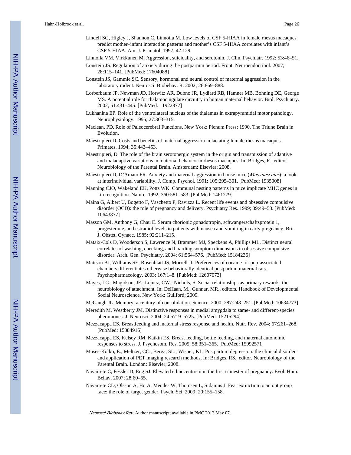- Lindell SG, Higley J, Shannon C, Linnoila M. Low levels of CSF 5-HIAA in female rhesus macaques predict mother–infant interaction patterns and mother's CSF 5-HIAA correlates with infant's CSF 5-HIAA. Am. J. Primatol. 1997; 42:129.
- Linnoila VM, Virkkunen M. Aggression, suicidality, and serotonin. J. Clin. Psychiatr. 1992; 53:46–51.
- Lonstein JS. Regulation of anxiety during the postpartum period. Front. Neuroendocrinol. 2007; 28:115–141. [PubMed: 17604088]
- Lonstein JS, Gammie SC. Sensory, hormonal and neural control of maternal aggression in the laboratory rodent. Neurosci. Biobehav. R. 2002; 26:869–888.
- Lorberbaum JP, Newman JD, Horwitz AR, Dubno JR, Lydiard RB, Hamner MB, Bohning DE, George MS. A potential role for thalamocingulate circuitry in human maternal behavior. Biol. Psychiatry. 2002; 51:431–445. [PubMed: 11922877]
- Lukhanina EP. Role of the ventrolateral nucleus of the thalamus in extrapyramidal motor pathology. Neurophysiology. 1995; 27:303–315.
- Maclean, PD. Role of Paleocerebral Functions. New York: Plenum Press; 1990. The Triune Brain in Evolution.
- Maestripieri D. Costs and benefits of maternal aggression in lactating female rhesus macaques. Primates. 1994; 35:443–453.
- Maestripieri, D. The role of the brain serotonergic system in the origin and transmission of adaptive and maladaptive variations in maternal behavior in rhesus macaques. In: Bridges, R., editor. Neurobiology of the Parental Brain. Amsterdam: Elsevier; 2008.
- Maestripieri D, D'Amato FR. Anxiety and maternal aggression in house mice (Mus musculus): a look at interindividual variability. J. Comp. Psychol. 1991; 105:295–301. [PubMed: 1935008]
- Manning CJO, Wakeland EK, Potts WK. Communal nesting patterns in mice implicate MHC genes in kin recognition. Nature. 1992; 360:581–583. [PubMed: 1461279]
- Maina G, Albert U, Bogetto F, Vaschetto P, Ravizza L. Recent life events and obsessive compulsive disorder (OCD): the role of pregnancy and delivery. Psychiatry Res. 1999; 89:49–58. [PubMed: 10643877]
- Masson GM, Anthony G, Chau E. Serum chorionic gonadotropin, schwangerschaftsprotein 1, progesterone, and estradiol levels in patients with nausea and vomiting in early pregnancy. Brit. J. Obstet. Gynaec. 1985; 92:211–215.
- Mataix-Cols D, Wooderson S, Lawrence N, Brammer MJ, Speckens A, Phillips ML. Distinct neural correlates of washing, checking, and hoarding symptom dimensions in obsessive compulsive disorder. Arch. Gen. Psychiatry. 2004; 61:564–576. [PubMed: 15184236]
- Mattson BJ, Williams SE, Rosenblatt JS, Morrell JI. Preferences of cocaine- or pup-associated chambers differentiates otherwise behaviorally identical postpartum maternal rats. Psychopharmacology. 2003; 167:1–8. [PubMed: 12607073]
- Mayes, LC.; Magidson, JF.; Lejuez, CW.; Nichols, S. Social relationships as primary rewards: the neurobiology of attachment. In: DeHaan, M.; Gunnar, MR., editors. Handbook of Developmental Social Neuroscience. New York: Guilford; 2009.
- McGaugh JL. Memory: a century of consolidation. Science. 2000; 287:248–251. [PubMed: 10634773]
- Meredith M, Westberry JM. Distinctive responses in medial amygdala to same- and different-species pheromones. J. Neurosci. 2004; 24:5719–5725. [PubMed: 15215294]
- Mezzacappa ES. Breastfeeding and maternal stress response and health. Nutr. Rev. 2004; 67:261–268. [PubMed: 15384916]
- Mezzacappa ES, Kelsey RM, Katkin ES. Breast feeding, bottle feeding, and maternal autonomic responses to stress. J. Psychosom. Res. 2005; 58:351–365. [PubMed: 15992571]
- Moses-Kolko, E.; Meltzer, CC.; Berga, SL.; Wisner, KL. Postpartum depression: the clinical disorder and application of PET imaging research methods. In: Bridges, RS., editor. Neurobiology of the Parental Brain. London: Elsevier; 2008.
- Navarrete C, Fessler D, Eng SJ. Elevated ethnocentrism in the first trimester of pregnancy. Evol. Hum. Behav. 2007; 28:60–65.
- Navarrete CD, Olsson A, Ho A, Mendes W, Thomsen L, Sidanius J. Fear extinction to an out group face: the role of target gender. Psych. Sci. 2009; 20:155–158.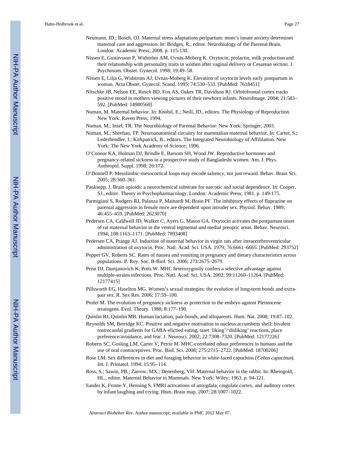- Neumann, ID.; Bosch, OJ. Maternal stress adaptations peripartum: mom's innate anxiety determines maternal care and aggression. In: Bridges, R., editor. Neurobiology of the Parental Brain. London: Academic Press; 2008. p. 115-130.
- Nissen E, Gustavsson P, Widström AM, Uvnäs-Moberg K. Oxytocin, prolactin, milk production and their relationship with personality traits in women after vaginal delivery or Cesarean section. J. Psychosom. Obstet. Gynecol. 1998; 19:49–58.
- Nissen E, Lilja G, Widstrom AJ, Uvnas-Moberg K. Elevation of oxytocin levels early postpartum in woman. Acta Obstet. Gynecol. Scand. 1995; 74:530–533. [PubMed: 7618451]
- Nitschke JB, Nelson EE, Rusch BD, Fox AS, Oakes TR, Davidson RJ. Orbitofrontal cortex tracks positive mood in mothers viewing pictures of their newborn infants. NeuroImage. 2004; 21:583– 592. [PubMed: 14980560]
- Numan, M. Maternal behavior. In: Knobil, E.; Neill, JD., editors. The Physiology of Reproduction. New York: Raven Press; 1994.
- Numan, M.; Insel, TR. The Neurobiology of Parental Behavior. New York: Springer; 2003.
- Numan, M.; Sheehan, TP. Neuroanatomical circuitry for mammalian maternal behavior. In: Carter, S.; Lederhendler, I.; Kirkpatrick, B., editors. The Integrated Neurobiology of Affililation. New York: The New York Academy of Science; 1996.
- O'Connor KA, Holman DJ, Brindle E, Barsom SH, Wood JW. Reproductive hormones and pregnancy-related sickness in a prospective study of Bangladeshi women. Am. J. Phys. Anthropol. Suppl. 1998; 26:172.
- O'Donnell P. Mesolimbic-mesocortical loops may encode saliency, not just reward. Behav. Brain Sci. 2005; 28:360–361.
- Panksepp, J. Brain opioids: a neurochemical substrate for narcotic and social dependence. In: Cooper, SJ., editor. Theory in Psychopharmacology. London: Academic Press; 1981. p. 149-175.
- Parmigiani S, Rodgers RJ, Palanza P, Mainardi M, Brain PF. The inhibitory effects of fluprazine on parental aggression in female mice are dependent upon intruder sex. Physiol. Behav. 1989; 46:455–459. [PubMed: 2623070]
- Pedersen CA, Caldwell JD, Walker C, Ayers G, Mason GA. Oxytocin activates the postpartum onset of rat maternal behavior in the ventral tegmental and medial preoptic areas. Behav. Neurosci. 1994; 108:1163–1171. [PubMed: 7893408]
- Pedersen CA, Prange AJ. Induction of maternal behavior in virgin rats after intracerebroventricular administration of oxytocin. Proc. Natl. Acad. Sci. USA. 1979; 76:6661–6665. [PubMed: 293752]
- Pepper GV, Roberts SC. Rates of nausea and vomiting in pregnancy and dietary characteristics across populations. P. Roy. Soc. B-Biol. Sci. 2006; 273:2675–2679.
- Penn DJ, Damjanovich K, Potts W. MHC heterozygosity confers a selective advantage against multiple-strains infections. Proc. Natl. Acad. Sci. USA. 2002; 99:11260–11264. [PubMed: 12177415]
- Pillsworth EG, Haselton MG. Women's sexual strategies: the evolution of long-term bonds and extrapair sex. R. Sex Res. 2006; 17:59–100.
- Profet M. The evolution of pregnancy sickness as protection to the embryo against Pleistocene teratogens. Evol. Theory. 1988; 8:177–190.
- Quinlin RJ, Quinlin MB. Human lactation, pair-bonds, and alloparents. Hum. Nat. 2008; 19:87–102.
- Reynolds SM, Berridge KC. Positive and negative motivation in nucleus accumbens shell: bivalent rostrocaudal gradients for GABA-elictied eating, taset 'liking'/'disliking' reactions, place preference/avoidance, and fear. J. Neurosci. 2002; 22:7308–7320. [PubMed: 12177226]
- Roberts SC, Gosling LM, Carter V, Petrie M. MHC-correlated odour preferences in humans and the use of oral contraceptives. Proc. Biol. Sci. 2008; 275:2715–2722. [PubMed: 18700206]
- Rose LM. Sex differences in diet and foraging behavior in white-faced capuchins (*Cebus capucinus*). Int. J. Primatol. 1994; 15:95–114.
- Ross, S.; Sawin, PB.; Zarrow, MX.; Denenberg, VH. Maternal behavior in the rabbit. In: Rheingold, HL., editor. Maternal Behavior in Mammals. New York: Wiley; 1963. p. 94-121.
- Sander K, Frome Y, Henning S. FMRI activations of amygdala, cingulate cortex, and auditory cortex by infant laughing and crying. Hum. Brain map. 2007; 28:1007–1022.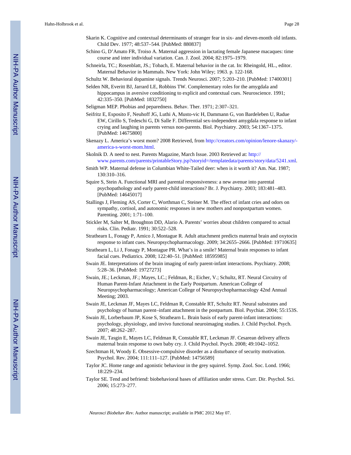- Skarin K. Cognitive and contextual determinants of stranger fear in six- and eleven-month old infants. Child Dev. 1977; 48:537–544. [PubMed: 880837]
- Schino G, D'Amato FR, Troiso A. Maternal aggression in lactating female Japanese macaques: time course and inter individual variation. Can. J. Zool. 2004; 82:1975–1979.
- Schneirla, TC.; Rosenblatt, JS.; Tobach, E. Maternal behavior in the cat. In: Rheingold, HL., editor. Maternal Behavior in Mammals. New York: John Wiley; 1963. p. 122-168.

Schultz W. Behavioral dopamine signals. Trends Neurosci. 2007; 5:203–210. [PubMed: 17400301]

Selden NR, Everitt BJ, Jarrard LE, Robbins TW. Complementary roles for the amygdala and hippocampus in aversive conditioning to explicit and contextual cues. Neuroscience. 1991; 42:335–350. [PubMed: 1832750]

Seligman MEP. Phobias and peparedness. Behav. Ther. 1971; 2:307–321.

- Seifritz E, Esposito F, Neuhoff JG, Luthi A, Musto-vic H, Dammann G, von Bardeleben U, Radue EW, Cirillo S, Tedeschi G, Di Salle F. Differential sex-independent amygdala response to infant crying and laughing in parents versus non-parents. Biol. Psychiatry. 2003; 54:1367–1375. [PubMed: 14675800]
- Skenazy L. America's worst mom? 2008 Retrieved, from [http://creators.com/opinion/lenore-skanazy/](http://creators.com/opinion/lenore-skanazy/-america-s-worst-mom.html) [america-s-worst-mom.html](http://creators.com/opinion/lenore-skanazy/-america-s-worst-mom.html).
- Skolnik D. A need to nest. Parents Magazine, March Issue. 2003 Retrieved at: [http://](http://www.parents.com/parents/printableStory.jsp?storyid=/templatedata/parents/story/data/5241.xml) [www.parents.com/parents/printableStory.jsp?storyid=/templatedata/parents/story/data/5241.xml.](http://www.parents.com/parents/printableStory.jsp?storyid=/templatedata/parents/story/data/5241.xml)
- Smith WP. Maternal defense in Columbian White-Tailed deer: when is it worth it? Am. Nat. 1987; 130:310–316.
- Squire S, Stein A. Functional MRI and parental responsiveness: a new avenue into parental psychopathology and early parent-child interactions? Br. J. Psychiatry. 2003; 183:481–483. [PubMed: 14645017]
- Stallings J, Fleming AS, Corter C, Worthman C, Steiner M. The effect of infant cries and odors on sympathy, cortisol, and autonomic responses in new mothers and nonpostpartum women. Parenting. 2001; 1:71–100.
- Stickler M, Salter M, Broughton DD, Alario A. Parents' worries about children compared to actual risks. Clin. Pediatr. 1991; 30:522–528.
- Strathearn L, Fonagy P, Amico J, Montague R. Adult attachment predicts maternal brain and oxytocin response to infant cues. Neuropsychopharmacology. 2009; 34:2655–2666. [PubMed: 19710635]
- Strathearn L, Li J, Fonagy P, Montague PR. What's in a smile? Maternal brain responses to infant facial cues. Pediatrics. 2008; 122:40–51. [PubMed: 18595985]
- Swain JE. Interpretations of the brain imaging of early parent-infant interactions. Psychiatry. 2008; 5:28–36. [PubMed: 19727273]
- Swain, JE.; Leckman, JF.; Mayes, LC.; Feldman, R.; Eicher, V.; Schultz, RT. Neural Circuitry of Human Parent-Infant Attachment in the Early Postpartum. American College of Neuropsychopharmacology; American College of Neuropsychopharmacology 42nd Annual Meeting; 2003.
- Swain JE, Leckman JF, Mayes LC, Feldman R, Constable RT, Schultz RT. Neural substrates and psychology of human parent–infant attachment in the postpartum. Biol. Psychiat. 2004; 55:153S.
- Swain JE, Lorberbaum JP, Kose S, Strathearn L. Brain basis of early parent-infant interactions: psychology, physiology, and invivo functional neuroimaging studies. J. Child Psychol. Psych. 2007; 48:262–287.
- Swain JE, Tasgin E, Mayes LC, Feldman R, Constable RT, Leckman JF. Cesarean delivery affects maternal brain response to own baby cry. J. Child Psychol. Psych. 2008; 49:1042–1052.
- Szechtman H, Woody E. Obsessive-compulsive disorder as a disturbance of security motivation. Psychol. Rev. 2004; 111:111–127. [PubMed: 14756589]
- Taylor JC. Home range and agonistic behaviour in the grey squirrel. Symp. Zool. Soc. Lond. 1966; 18:229–234.
- Taylor SE. Tend and befriend: biobehavioral bases of affiliation under stress. Curr. Dir. Psychol. Sci. 2006; 15:273–277.

 NIH-PA Author ManuscriptNH-PA Actros Manuscript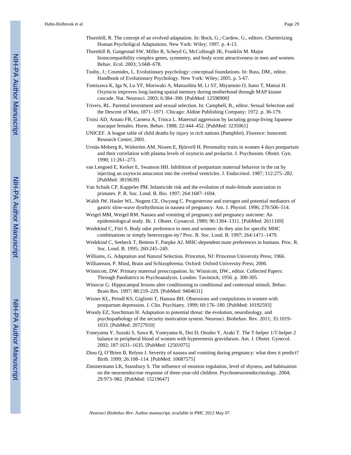- Thornhill, R. The concept of an evolved adaptation. In: Bock, G.; Cardew, G., editors. Chariterizing Human Psycholigcal Adaptations. New York: Wiley; 1997. p. 4-13.
- Thornhill R, Gangestad SW, Miller R, Scheyd G, McCollough JK, Franklin M. Major histocompatibility complex genes, symmetry, and body scent attractiveness in men and women. Behav. Ecol. 2003; 5:668–678.
- Tooby, J.; Cosmides, L. Evolutionary psychology: conceptual foundations. In: Buss, DM., editor. Handbook of Evolutionary Psychology. New York: Wiley; 2005. p. 5-67.
- Tomizawa K, Iga N, Lu YF, Moriwaki A, Matsushita M, Li ST, Miyamoto O, Itano T, Matsui H. Oxytocin improves long-lasting spatial memory during motherhood through MAP kinase cascade. Nat. Neurosci. 2003; 6:384–390. [PubMed: 12598900]
- Trivers, RL. Parental investment and sexual selection. In: Campbell, B., editor. Sexual Selection and the Descent of Man, 1871–1971. Chicago: Aldine Publishing Company; 1972. p. 36-179.
- Troisi AD, Amato FR, Carnera A, Trinca L. Maternal aggression by lactating group-living Japanese macaque females. Horm. Behav. 1988; 22:444–452. [PubMed: 3235061]
- UNICEF. A league table of child deaths by injury in rich nations (Pamphlet). Florence: Innocenti Research Centre; 2001.
- Uvnäs-Moberg K, Widström AM, Nissen E, Björvell H. Personality traits in women 4 days postpartum and their correlation with plasma levels of oxytocin and prolactin. J. Psychosom. Obstet. Gyn. 1990; 11:261–273.
- van Leegoed E, Kerker E, Swanson HH. Inhibition of postpartum maternal behavior in the rat by injecting an oxytocin antaconist into the cerebral ventricles. J. Endocrinol. 1987; 112:275–282. [PubMed: 3819639]
- Van Schaik CP, Kappeler PM. Infanticide risk and the evolution of male-female association in primates. P. R. Soc. Lond. B. Bio. 1997; 264:1687–1694.
- Walsh JW, Hasler WL, Nugent CE, Owyang C. Progesterone and estrogen and potential mediators of gastric slow-wave dysrhythmias in nausea of pregnancy. Am. J. Physiol. 1996; 270:506–514.
- Weigel MM, Weigel RM. Nausea and vomiting of pregnancy and pregnancy outcome: An epidemiological study. Br. J. Obstet. Gynaecol. 1989; 96:1304–1311. [PubMed: 2611169]
- Wedekind C, Füri S. Body odor preference in men and women: do they aim for specific MHC combinations or simply heterozygos-ity? Proc. R. Soc. Lond. B. 1997; 264:1471–1479.
- Wedekind C, Seebeck T, Bettens F, Paepke AJ. MHC-dependent mate preferences in humans. Proc. R. Soc. Lond. B. 1995; 260:245–249.
- Williams, G. Adaptation and Natural Selection. Princeton, NJ: Princeton University Press; 1966.
- Williamson, P. Mind, Brain and Schizophrenia. Oxford: Oxford University Press; 2006.
- Winnicott, DW. Primary maternal preoccupation. In: Winnicott, DW., editor. Collected Papers: Through Paediatrics to Psychoanalysis. London: Tavistock; 1956. p. 300-305.
- Winocur G. Hippocampal lesions alter conditioning to conditional and contextual stimuli. Behav. Brain Res. 1997; 88:219–229. [PubMed: 9404631]
- Wisner KL, Peindl KS, Gigliotti T, Hanusa BH. Obsessions and compulsions in women with postpartum depression. J. Clin. Psychiatry. 1999; 60:176–180. [PubMed: 10192593]
- Woody EZ, Szechtman H. Adaptation to potential threat: the evolution, neurobiology, and psychopathology of the security motivation system. Neurosci. Biobehav. Rev. 2011; 35:1019– 1033. [PubMed: 20727910]
- Yoneyama Y, Suzuki S, Sawa R, Yoneyama K, Doi D, Otsubo Y, Araki T. The T-helper 1/T-helper 2 balance in peripheral blood of women with hyperemesis gravidarum. Am. J. Obstet. Gynecol. 2002; 187:1631–1635. [PubMed: 12501075]
- Zhou Q, O'Brien B, Relyea J. Severity of nausea and vomiting during pregnancy: what does it predict? Birth. 1999; 26:108–114. [PubMed: 10687575]
- Zimmermann LK, Stansbury S. The influence of emotion regulation, level of shyness, and habituation on the neuroendocrine response of three-year-old children. Psychoneuroendocrinology. 2004; 29:973–982. [PubMed: 15219647]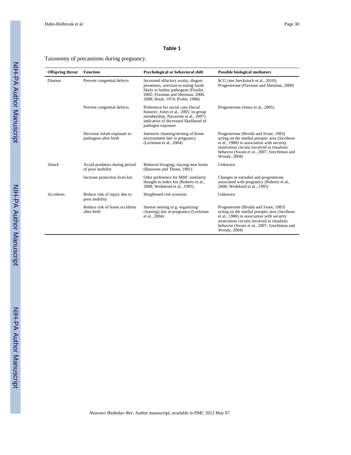#### **Table 1**

Taxonomy of precautions during pregnancy.

| <b>Offspring threat</b> | <b>Function</b>                                      | Psychological or behavioral shift                                                                                                                                                         | <b>Possible biological mediators</b>                                                                                                                                                                                                              |
|-------------------------|------------------------------------------------------|-------------------------------------------------------------------------------------------------------------------------------------------------------------------------------------------|---------------------------------------------------------------------------------------------------------------------------------------------------------------------------------------------------------------------------------------------------|
| Disease                 | Prevent congenital defects                           | Increased olfactory acuity, disgust<br>proneness, aversion to eating foods<br>likely to harbor pathogens (Fessler,<br>2002; Flaxman and Sherman, 2000,<br>2008; Hook, 1974; Profet, 1988) | hCG (see Jueckstock et al., 2010);<br>Progesterone (Flaxman and Sherman, 2000)                                                                                                                                                                    |
|                         | Prevent congenital defects                           | Preference for social cues (facial<br>features: Jones et al., 2005; in-group<br>membership: Navarrete et al., 2007)<br>indicative of decreased likelihood of<br>pathogen exposure         | Progesterone (Jones et al., 2005)                                                                                                                                                                                                                 |
|                         | Decrease infant exposure to<br>pathogens after birth | Intensive cleaning/nesting of home<br>environment late in pregnancy<br>(Leckman et al., 2004)                                                                                             | Progesterone (Broida and Svare, 1983)<br>acting on the medial preoptic area (Jacobson<br>et al., 1980) in association with security<br>motivation circuits involved in ritualistic<br>behavior (Swain et al., 2007; Szechtman and<br>Woody, 2004) |
| Attack                  | Avoid predators during period<br>of poor mobility    | Reduced foraging, staying near home<br>(Bauwens and Thoen, 1981)                                                                                                                          | Unknown                                                                                                                                                                                                                                           |
|                         | Increase protection from kin                         | Odor preference for MHC similarity<br>thought to index kin (Roberts et al.,<br>2008; Wedekind et al., 1995)                                                                               | Changes in estradiol and progesterone<br>associated with pregnancy (Roberts et al.,<br>2008; Wedekind et al., 1995)                                                                                                                               |
| Accidents               | Reduce risk of injury due to<br>poor mobility        | Heightened risk aversion                                                                                                                                                                  | Unknown                                                                                                                                                                                                                                           |
|                         | Reduce risk of home accidents<br>after birth         | Intense nesting (e.g. organizing/<br>cleaning) late in pregnancy (Leckman<br>et al., 2004)                                                                                                | Progesterone (Broida and Svare, 1983)<br>acting on the medial preoptic area (Jacobson<br>et al., 1980) in association with security<br>motivation circuits involved in ritualistic<br>behavior (Swain et al., 2007; Szechtman and<br>Woody, 2004) |